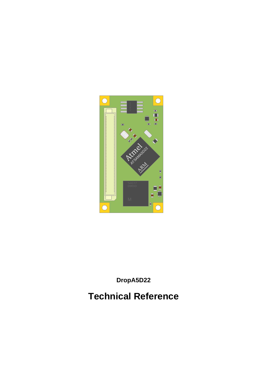

DropA5D22

**Technical Reference**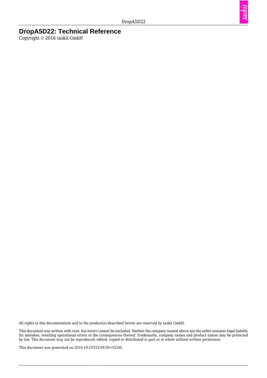taskit

#### **DropA5D22: Technical Reference**

Copyright © 2016 taskit GmbH

All rights to this documentation and to the product(s) described herein are reserved by taskit GmbH.

This document was written with care, but errors cannot be excluded. Neither the company named above nor the seller assumes legal liability for mistakes, resulting operational errors or the consequences thereof. Trademarks, company names and product names may be protected by law. This document may not be reproduced, edited, copied or distributed in part or in whole without written permission.

This document was generated on 2016-10-10T23:09:50+02:00.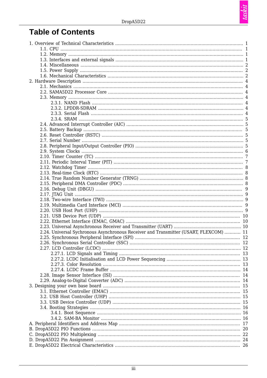taskit

# **Table of Contents**

| 2.24. Universal Sychronous Asynchronous Receiver and Transmitter (USART, FLEXCOM)  11 |  |
|---------------------------------------------------------------------------------------|--|
|                                                                                       |  |
|                                                                                       |  |
|                                                                                       |  |
|                                                                                       |  |
|                                                                                       |  |
|                                                                                       |  |
|                                                                                       |  |
|                                                                                       |  |
|                                                                                       |  |
|                                                                                       |  |
|                                                                                       |  |
|                                                                                       |  |
|                                                                                       |  |
|                                                                                       |  |
|                                                                                       |  |
|                                                                                       |  |
|                                                                                       |  |
|                                                                                       |  |
|                                                                                       |  |
|                                                                                       |  |
|                                                                                       |  |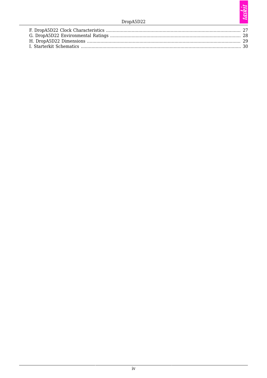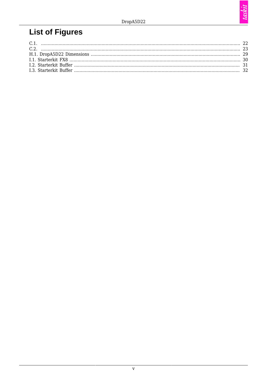# **List of Figures**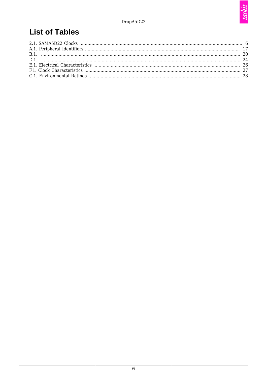# **List of Tables**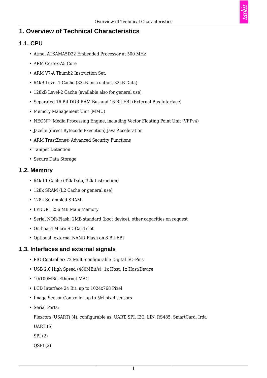### <span id="page-6-0"></span>**1. Overview of Technical Characteristics**

#### <span id="page-6-1"></span>**1.1. CPU**

- Atmel ATSAMA5D22 Embedded Processor at 500 MHz
- ARM Cortex-A5 Core
- ARM V7-A Thumb2 Instruction Set.
- 64kB Level-1 Cache (32kB Instruction, 32kB Data)
- 128kB Level-2 Cache (available also for general use)
- Separated 16-Bit DDR-RAM Bus and 16-Bit EBI (External Bus Interface)
- Memory Management Unit (MMU)
- NEON<sup>™</sup> Media Processing Engine, including Vector Floating Point Unit (VFPv4)
- Jazelle (direct Bytecode Execution) Java Acceleration
- ARM TrustZone® Advanced Security Functions
- Tamper Detection
- Secure Data Storage

#### <span id="page-6-2"></span>**1.2. Memory**

- 64k L1 Cache (32k Data, 32k Instruction)
- 128k SRAM (L2 Cache or general use)
- 128k Scrambled SRAM
- LPDDR1 256 MB Main Memory
- Serial NOR-Flash: 2MB standard (boot device), other capacities on request
- On-board Micro SD-Card slot
- Optional: external NAND-Flash on 8-Bit EBI

#### <span id="page-6-3"></span>**1.3. Interfaces and external signals**

- PIO-Controller: 72 Multi-configurable Digital I/O-Pins
- USB 2.0 High Speed (480MBit/s): 1x Host, 1x Host/Device
- 10/100MBit Ethernet MAC
- LCD Interface 24 Bit, up to 1024x768 Pixel
- Image Sensor Controller up to 5M-pixel sensors
- Serial Ports:

Flexcom (USART) (4), configurable as: UART, SPI, I2C, LIN, RS485, SmartCard, Irda

- UART (5)
- SPI (2)
- QSPI (2)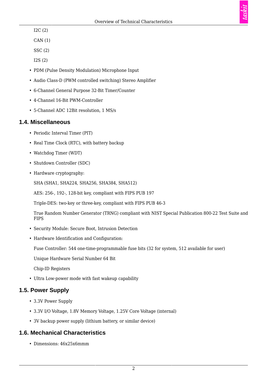I2C (2)

CAN (1)

SSC (2)

I2S (2)

- PDM (Pulse Density Modulation) Microphone Input
- Audio Class-D (PWM controlled switching) Stereo Amplifier
- 6-Channel General Purpose 32-Bit Timer/Counter
- 4-Channel 16-Bit PWM-Controller
- 5-Channel ADC 12Bit resolution, 1 MS/s

#### <span id="page-7-0"></span>**1.4. Miscellaneous**

- Periodic Interval Timer (PIT)
- Real Time Clock (RTC), with battery backup
- Watchdog Timer (WDT)
- Shutdown Controller (SDC)
- Hardware cryptography:

SHA (SHA1, SHA224, SHA256, SHA384, SHA512)

AES: 256-, 192-, 128-bit key, compliant with FIPS PUB 197

Triple-DES: two-key or three-key, compliant with FIPS PUB 46-3

True Random Number Generator (TRNG) compliant with NIST Special Publication 800-22 Test Suite and FIPS

- Security Module: Secure Boot, Intrusion Detection
- Hardware Identification and Configuration:

Fuse Controller: 544 one-time-programmable fuse bits (32 for system, 512 available for user)

Unique Hardware Serial Number 64 Bit

Chip-ID Registers

• Ultra Low-power mode with fast wakeup capability

#### <span id="page-7-1"></span>**1.5. Power Supply**

- 3.3V Power Supply
- 3.3V I/O Voltage, 1.8V Memory Voltage, 1.25V Core Voltage (internal)
- 3V backup power supply (lithium battery, or similar device)

## <span id="page-7-2"></span>**1.6. Mechanical Characteristics**

• Dimensions: 46x25x6mmm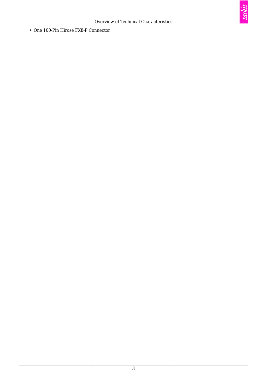taskit

- One 100-Pin Hirose FX8-P Connector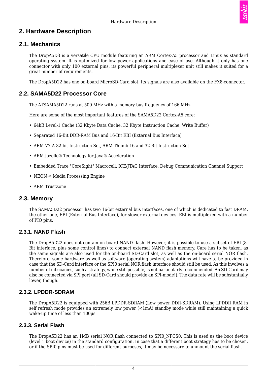### <span id="page-9-0"></span>**2. Hardware Description**

#### <span id="page-9-1"></span>**2.1. Mechanics**

The DropA5D3 is a versatile CPU module featuring an ARM Cortex-A5 processor and Linux as standard operating system. It is optimized for low power applications and ease of use. Although it only has one connector with only 100 external pins, its powerful peripheral multiplexer unit still makes it suited for a great number of requirements.

The DropA5D22 has one on-board MicroSD-Card slot. Its signals are also available on the FX8-connector.

#### <span id="page-9-2"></span>**2.2. SAMA5D22 Processor Core**

The ATSAMA5D22 runs at 500 MHz with a memory bus frequency of 166 MHz.

Here are some of the most important features of the SAMA5D22 Cortex-A5 core:

- 64kB Level-1 Cache (32 Kbyte Data Cache, 32 Kbyte Instruction Cache, Write Buffer)
- Separated 16-Bit DDR-RAM Bus and 16-Bit EBI (External Bus Interface)
- ARM V7-A 32-bit Instruction Set, ARM Thumb 16 and 32 Bit Instruction Set
- ARM Jazelle® Technology for Java® Acceleration
- Embedded Trace "CoreSight" Macrocell, ICE/JTAG Interface, Debug Communication Channel Support
- NEON<sup>™</sup> Media Processing Engine
- ARM TrustZone

#### <span id="page-9-3"></span>**2.3. Memory**

The SAMA5D22 processor has two 16-bit external bus interfaces, one of which is dedicated to fast DRAM, the other one, EBI (External Bus Interface), for slower external devices. EBI is multiplexed with a number of PIO pins.

#### <span id="page-9-4"></span>**2.3.1. NAND Flash**

The DropA5D22 does not contain on-board NAND flash. However, it is possible to use a subset of EBI (8- Bit interface, plus some control lines) to connect external NAND flash memory. Care has to be taken, as the same signals are also used for the on-board SD-Card slot, as well as the on-board serial NOR flash. Therefore, some hardware as well as software (operating system) adaptations will have to be provided in case that the SD-Card interface or the SPI0 serial NOR flash interface should still be used. As this involves a number of intricacies, such a strategy, while still possible, is not particularly recommended. An SD-Card may also be connected via SPI port (all SD-Card should provide an SPI-mode!). The data rate will be substantially lower, though.

#### <span id="page-9-5"></span>**2.3.2. LPDDR-SDRAM**

The DropA5D22 is equipped with 256B LPDDR-SDRAM (Low power DDR-SDRAM). Using LPDDR RAM in self refresh mode provides an extremely low power (<1mA) standby mode while still maintaining a quick wake-up time of less than 100 $\mu$ s.

#### <span id="page-9-6"></span>**2.3.3. Serial Flash**

The DropA5D22 has an 1MB serial NOR flash connected to SPI0\_NPCS0. This is used as the boot device (level 1 boot device) in the standard configuration. In case that a different boot strategy has to be chosen, or if the SPI0 pins must be used for different purposes, it may be necessary to unmount the serial flash.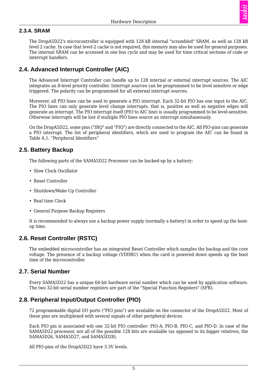

#### <span id="page-10-0"></span>**2.3.4. SRAM**

The DropA5D22's microcontroller is equipped with 128 kB internal "scrambled" SRAM, as well as 128 kB level 2 cache. In case that level-2 cache is not required, this memory may also be used for general purposes. The internal SRAM can be accessed in one bus cycle and may be used for time critical sections of code or interrupt handlers.

#### <span id="page-10-1"></span>**2.4. Advanced Interrupt Controller (AIC)**

The Advanced Interrupt Controller can handle up to 128 internal or external interrupt sources. The AIC integrates an 8-level priority controller. Interrupt sources can be programmed to be level sensitive or edge triggered. The polarity can be programmed for all external interrupt sources.

Moreover, all PIO lines can be used to generate a PIO interrupt. Each 32-bit PIO has one input to the AIC. The PIO lines can only generate level change interrupts, that is, positive as well as negative edges will generate an interrupt. The PIO interrupt itself (PIO to AIC line) is usually programmed to be level-sensitive. Otherwise interrupts will be lost if multiple PIO lines source an interrupt simultaneously.

On the DropA5D22, some pins ("IRQ" and "FIQ") are directly connected to the AIC. All PIO-pins can generate a PIO interrupt. The list of peripheral identifiers, which are used to program the AIC can be found in [Table A.1, "Peripheral Identifiers"](#page-22-1)

#### <span id="page-10-2"></span>**2.5. Battery Backup**

The following parts of the SAMA5D22 Processor can be backed-up by a battery:

- Slow Clock Oscillator
- Reset Controller
- Shutdown/Wake-Up Controller
- Real time Clock
- General Purpose Backup Registers

It is recommended to always use a backup power supply (normally a battery) in order to speed up the bootup time.

#### <span id="page-10-3"></span>**2.6. Reset Controller (RSTC)**

The embedded microcontroller has an integrated Reset Controller which samples the backup and the core voltage. The presence of a backup voltage (VDDBU) when the card is powered down speeds up the boot time of the microcontroller.

#### <span id="page-10-4"></span>**2.7. Serial Number**

Every SAMA5D22 has a unique 64-bit hardware serial number which can be used by application software. The two 32-bit serial number registers are part of the "Special Function Registers" (SFR).

#### <span id="page-10-5"></span>**2.8. Peripheral Input/Output Controller (PIO)**

72 programmable digital I/O ports ("PIO pins") are available on the connector of the DropA5D22. Most of these pins are multiplexed with several signals of other peripheral devices.

Each PIO pin is associated wih one 32-bit PIO controller: PIO-A, PIO-B, PIO-C, and PIO-D. In case of the SAMA5D22 processor, not all of the possible 128 bits are available (as opposed to its bigger relatives, the SAMA5D26, SAMA5D27, and SAMA5D28).

All PIO-pins of the DropA5D22 have 3.3V levels.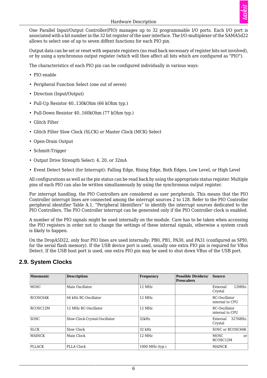One Parallel Input/Output Controller(PIO) manages up to 32 programmable I/O ports. Each I/O port is associated with a bit number in the 32 bit register of the user interface. The I/O-multiplexer of the SAMA5d22 allows to select one of up to seven diffent functions for each PIO pin.

Output data can be set or reset with separate registers (no read back necessary of register bits not involved), or by using a synchronous output register (which will then affect all bits which are configured as "PIO").

The characteristics of each PIO pin can be configured individually in various ways:

- PIO enable
- Peripheral Function Select (one out of seven)
- Direction (Input/Output)
- Pull-Up Resistor 40..130kOhm (66 kOhm typ.)
- Pull-Down Resistor 40..160kOhm (77 kOhm typ.)
- Glitch Filter
- Glitch Filter Slow Clock (SLCK) or Master Clock (MCK) Select
- Open-Drain Output
- Schmitt-Trigger
- Output Drive Strength Select: 4, 20, or 32mA
- Event Detect Select (for Interrupt): Falling Edge, Rising Edge, Both Edges, Low Level, or High Level

All configurations as well as the pin status can be read back by using the appropriate status register. Multiple pins of each PIO can also be written simultaneously by using the synchronous output register.

For interrupt handling, the PIO Controllers are considered as user peripherals. This means that the PIO Controller interrupt lines are connected among the interrupt sources 2 to 128. Refer to the PIO Controller peripheral identifier [Table A.1, "Peripheral Identifiers"](#page-22-1) to identify the interrupt sources dedicated to the PIO Controllers. The PIO Controller interrupt can be generated only if the PIO Controller clock is enabled.

A number of the PIO signals might be used internally on the module. Care has to be taken when accessing the PIO registers in order not to change the settings of these internal signals, otherwise a system crash is likely to happen.

On the DropA5D22, only four PIO lines are used internally: PB0, PB1, PA30, and PA31 (configured as SPI0, for the serial flash memory). If the USB device port is used, usually one extra PIO pin is required for VBus Detect. If the USB host port is used, one extra PIO pin may be used to shut down VBus of the USB port.

<span id="page-11-1"></span>

| <b>Mnemonic</b> | <b>Description</b>            | Frequency       | <b>Possible Dividers/</b><br><b>Prescalers</b> | <b>Source</b>                    |
|-----------------|-------------------------------|-----------------|------------------------------------------------|----------------------------------|
| <b>MOSC</b>     | Main Oscillator               | $12$ MHz        |                                                | 12MHz<br>External<br>Crystal     |
| RCOSC64K        | 64 kHz RC-Oscillator          | $12$ MHz        |                                                | RC-Oscillator<br>internal to CPU |
| RCOSC12M        | 12 MHz RC-Oscillator          | 12 MHz          |                                                | RC-Oscillator<br>internal to CPU |
| SOSC            | Slow-Clock-Crystal-Oscillator | 32kHz           |                                                | 32768Hz-<br>External<br>Crystal  |
| <b>SLCK</b>     | Slow Clock                    | 32 kHz          |                                                | SOSC or RCOSC64K                 |
| <b>MAINCK</b>   | Main Clock                    | 12 MHz          |                                                | <b>MOSC</b><br>or<br>RCOSC12M    |
| <b>PLLACK</b>   | PLLA Clock                    | 1000 MHz (typ.) |                                                | <b>MAINCK</b>                    |

#### <span id="page-11-0"></span>**2.9. System Clocks**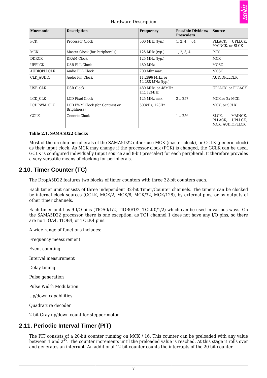

#### Hardware Description

| <b>Mnemonic</b>    | <b>Description</b>                            | Frequency                            | <b>Possible Dividers/</b><br><b>Prescalers</b> | <b>Source</b>                                             |
|--------------------|-----------------------------------------------|--------------------------------------|------------------------------------------------|-----------------------------------------------------------|
| <b>PCK</b>         | Processor Clock                               | 500 MHz (typ.)                       | $1, 2, 4, \ldots, 64$                          | UPLLCK,<br>PLLACK,<br>MAINCK, or SLCK                     |
| <b>MCK</b>         | Master Clock (for Peripherals)                | 125 MHz (typ.)                       | 1, 2, 3, 4                                     | <b>PCK</b>                                                |
| <b>DDRCK</b>       | DRAM Clock                                    | 125 MHz (typ.)                       |                                                | <b>MCK</b>                                                |
| <b>UPPLCK</b>      | USB PLL Clock                                 | 480 MHz                              |                                                | <b>MOSC</b>                                               |
| <b>AUDIOPLLCLK</b> | Audio PLL Clock                               | 700 Mhz max.                         |                                                | <b>MOSC</b>                                               |
| <b>CLK AUDIO</b>   | Audio Pin Clock                               | 11.2896 MHz, or<br>12.288 MHz (typ.) |                                                | <b>AUDIOPLLCLK</b>                                        |
| USB CLK            | <b>USB Clock</b>                              | 480 MHz, or 48MHz<br>and 12MHz       |                                                | <b>UPLLCK, or PLLACK</b>                                  |
| LCD CLK            | LCD Pixel Clock                               | 125 MHz max.                         | 2.0257                                         | MCK, or 2x MCK                                            |
| LCDPWM CLK         | LCD PWM Clock (for Contrast or<br>Brightness) | 500kHz, 128Hz                        |                                                | MCK, or SCLK                                              |
| <b>GCLK</b>        | Generic Clock                                 |                                      | 1.256                                          | SLCK,<br>MAINCK,<br>UPLLCK,<br>PLLACK,<br>MCK, AUDIOPLLCK |

#### **Table 2.1. SAMA5D22 Clocks**

Most of the on-chip peripherals of the SAMA5D22 either use MCK (master clock), or GCLK (generic clock) as their input clock. As MCK may change if the processor clock (PCK) is changed, the GCLK can be used. GCLK is configured individually (input source and 8-bit prescaler) for each peripheral. It therefore provides a very versatile means of clocking for peripherals.

#### <span id="page-12-0"></span>**2.10. Timer Counter (TC)**

The DropA5D22 features two blocks of timer counters with three 32-bit counters each.

Each timer unit consists of three independent 32-bit Timer/Counter channels. The timers can be clocked be internal clock sources (GCLK, MCK/2, MCK/8, MCK/32, MCK/128), by external pins, or by outputs of other timer channels.

Each timer unit has 9 I/O pins (TIOA0/1/2, TIOB0/1/2, TCLK0/1/2) which can be used in various ways. On the SAMA5D22 processor, there is one exception, as TC1 channel 1 does not have any I/O pins, so there are no TIOA4, TIOB4, or TCLK4 pins.

A wide range of functions includes:

Frequency measurement

Event counting

Interval measurement

Delay timing

Pulse generation

Pulse Width Modulation

Up/down capabilities

Quadrature decoder

2-bit Gray up/down count for stepper motor

#### <span id="page-12-1"></span>**2.11. Periodic Interval Timer (PIT)**

The PIT consists of a 20-bit counter running on MCK / 16. This counter can be preloaded with any value between 1 and  $2^{20}$ . The counter increments until the preloaded value is reached. At this stage it rolls over and generates an interrupt. An additional 12-bit counter counts the interrupts of the 20 bit counter.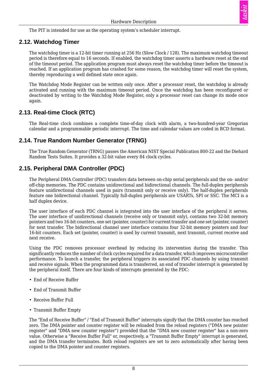

The PIT is intended for use as the operating system's scheduler interrupt.

#### <span id="page-13-0"></span>**2.12. Watchdog Timer**

The watchdog timer is a 12-bit timer running at 256 Hz (Slow Clock / 128). The maximum watchdog timeout period is therefore equal to 16 seconds. If enabled, the watchdog timer asserts a hardware reset at the end of the timeout period. The application program must always reset the watchdog timer before the timeout is reached. If an application program has crashed for some reason, the watchdog timer will reset the system, thereby reproducing a well defined state once again.

The Watchdog Mode Register can be written only once. After a processor reset, the watchdog is already activated and running with the maximum timeout period. Once the watchdog has been reconfigured or deactivated by writing to the Watchdog Mode Register, only a processor reset can change its mode once again.

#### <span id="page-13-1"></span>**2.13. Real-time Clock (RTC)**

The Real-time clock combines a complete time-of-day clock with alarm, a two-hundred-year Gregorian calendar and a programmable periodic interrupt. The time and calendar values are coded in BCD format.

#### <span id="page-13-2"></span>**2.14. True Random Number Generator (TRNG)**

The True Random Generator (TRNG) passes the American NIST Special Publication 800-22 and the Diehard Random Tests Suites. It provides a 32-bit value every 84 clock cycles.

#### <span id="page-13-3"></span>**2.15. Peripheral DMA Controller (PDC)**

The Peripheral DMA Controller (PDC) transfers data between on-chip serial peripherals and the on- and/or off-chip memories. The PDC contains unidirectional and bidirectional channels. The full-duplex peripherals feature unidirectional channels used in pairs (transmit only or receive only). The half-duplex peripherals feature one bidirectional channel. Typically full-duplex peripherals are USARTs, SPI or SSC. The MCI is a half duplex device.

The user interface of each PDC channel is integrated into the user interface of the peripheral it serves. The user interface of unidirectional channels (receive only or transmit only), contains two 32-bit memory pointers and two 16-bit counters, one set (pointer, counter) for current transfer and one set (pointer, counter) for next transfer. The bidirectional channel user interface contains four 32-bit memory pointers and four 16-bit counters. Each set (pointer, counter) is used by current transmit, next transmit, current receive and next receive.

Using the PDC removes processor overhead by reducing its intervention during the transfer. This significantly reduces the number of clock cycles required for a data transfer, which improves microcontroller performance. To launch a transfer, the peripheral triggers its associated PDC channels by using transmit and receive signals. When the programmed data is transferred, an end of transfer interrupt is generated by the peripheral itself. There are four kinds of interrupts generated by the PDC:

- End of Receive Buffer
- End of Transmit Buffer
- Receive Buffer Full
- Transmit Buffer Empty

The "End of Receive Buffer" / "End of Transmit Buffer" interrupts signify that the DMA counter has reached zero. The DMA pointer and counter register will be reloaded from the reload registers ("DMA new pointer register" and "DMA new counter register") provided that the "DMA new counter register" has a non-zero value. Otherwise a "Receive Buffer Full" or, respectively, a "Transmit Buffer Empty" interrupt is generated, and the DMA transfer terminates. Both reload registers are set to zero automatically after having been copied to the DMA pointer and counter registers.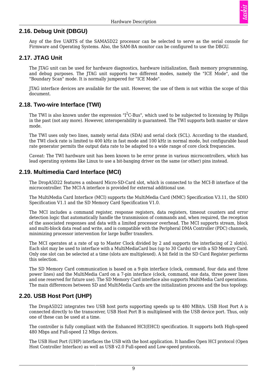#### <span id="page-14-0"></span>**2.16. Debug Unit (DBGU)**

Any of the five UARTS of the SAMA5D22 processor can be selected to serve as the serial console for Firmware and Operating Systems. Also, the SAM-BA monitor can be configured to use the DBGU.

#### <span id="page-14-1"></span>**2.17. JTAG Unit**

The JTAG unit can be used for hardware diagnostics, hardware initialization, flash memory programming, and debug purposes. The JTAG unit supports two different modes, namely the "ICE Mode", and the "Boundary Scan" mode. It is normally jumpered for "ICE Mode".

JTAG interface devices are available for the unit. However, the use of them is not within the scope of this document.

#### <span id="page-14-2"></span>**2.18. Two-wire Interface (TWI)**

The TWI is also known under the expression "I $^2$ C-Bus", which used to be subjected to licensing by Philips in the past (not any more). However, interoperability is guaranteed. The TWI supports both master or slave mode.

The TWI uses only two lines, namely serial data (SDA) and serial clock (SCL). According to the standard, the TWI clock rate is limited to 400 kHz in fast mode and 100 kHz in normal mode, but configurable baud rate generator permits the output data rate to be adapted to a wide range of core clock frequencies.

Caveat: The TWI hardware unit has been known to be error prone in various microcontrollers, which has lead operating systems like Linux to use a bit-banging driver on the same (or other) pins instead.

#### <span id="page-14-3"></span>**2.19. Multimedia Card Interface (MCI)**

The DropA5D22 features a onboard Micro-SD-Card slot, which is connected to the MCI-B interface of the microcontroller. The MCI-A interface is provided for external additional use.

The MultiMedia Card Interface (MCI) supports the MultiMedia Card (MMC) Specification V3.11, the SDIO Specification V1.1 and the SD Memory Card Specification V1.0.

The MCI includes a command register, response registers, data registers, timeout counters and error detection logic that automatically handle the transmission of commands and, when required, the reception of the associated responses and data with a limited processor overhead. The MCI supports stream, block and multi-block data read and write, and is compatible with the Peripheral DMA Controller (PDC) channels, minimizing processor intervention for large buffer transfers.

The MCI operates at a rate of up to Master Clock divided by 2 and supports the interfacing of 2 slot(s). Each slot may be used to interface with a MultiMediaCard bus (up to 30 Cards) or with a SD Memory Card. Only one slot can be selected at a time (slots are multiplexed). A bit field in the SD Card Register performs this selection.

The SD Memory Card communication is based on a 9-pin interface (clock, command, four data and three power lines) and the MultiMedia Card on a 7-pin interface (clock, command, one data, three power lines and one reserved for future use). The SD Memory Card interface also supports MultiMedia Card operations. The main differences between SD and MultiMedia Cards are the initialization process and the bus topology.

#### <span id="page-14-4"></span>**2.20. USB Host Port (UHP)**

The DropA5D22 integrates two USB host ports supporting speeds up to 480 MBit/s. USB Host Port A is connected directly to the transceiver, USB Host Port B is multiplexed with the USB device port. Thus, only one of these can be used at a time.

The controller is fully compliant with the Enhanced HCI(EHCI) specification. It supports both High-speed 480 Mbps and Full-speed 12 Mbps devices.

The USB Host Port (UHP) interfaces the USB with the host application. It handles Open HCI protocol (Open Host Controller Interface) as well as USB v2.0 Full-speed and Low-speed protocols.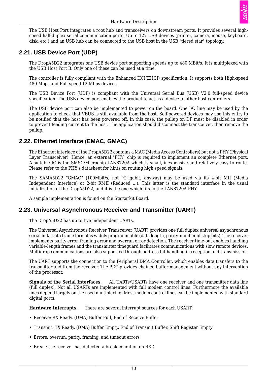

The USB Host Port integrates a root hub and transceivers on downstream ports. It provides several highspeed half-duplex serial communication ports. Up to 127 USB devices (printer, camera, mouse, keyboard, disk, etc.) and an USB hub can be connected to the USB host in the USB "tiered star" topology.

#### <span id="page-15-0"></span>**2.21. USB Device Port (UDP)**

The DropA5D22 integrates one USB device port supporting speeds up to 480 MBit/s. It is multiplexed with the USB Host Port B. Only one of these can be used at a time.

The controller is fully compliant with the Enhanced HCI(EHCI) specification. It supports both High-speed 480 Mbps and Full-speed 12 Mbps devices.

The USB Device Port (UDP) is compliant with the Universal Serial Bus (USB) V2.0 full-speed device specification. The USB device port enables the product to act as a device to other host controllers.

The USB device port can also be implemented to power on the board. One I/O line may be used by the application to check that VBUS is still available from the host. Self-powered devices may use this entry to be notified that the host has been powered off. In this case, the pullup on DP must be disabled in order to prevent feeding current to the host. The application should disconnect the transceiver, then remove the pullup.

#### <span id="page-15-1"></span>**2.22. Ethernet Interface (EMAC, GMAC)**

The Ethernet interface of the DropA5D22 contains a MAC (Media Access Controllers) but not a PHY (Physical Layer Transceiver). Hence, an external "PHY" chip is required to implement an complete Ethernet port. A suitable IC is the SMSC/Microchip LAN8720A which is small, inexpensive and relatively easy to route. Please refer to the PHY's datasheet for hints on routing high speed signals.

The SAMA5D22 "GMAC" (100Mbit/s, not "G"igabit, anyway) may be used via its 4-bit MII (Media Independent Interface) or 2-bit RMII (Reduced ...). This latter is the standard interface in the usual initialization of the DropA5D22, and it is the one which fits to the LAN8720A PHY.

A sample implementation is found on the Starterkit Board.

#### <span id="page-15-2"></span>**2.23. Universal Asynchronous Receiver and Transmitter (UART)**

The DropA5D22 has up to five independent UARTs.

The Universal Asynchronous Receiver Transceiver (UART) provides one full duplex universal asynchronous serial link. Data frame format is widely programmable (data length, parity, number of stop bits). The receiver implements parity error, framing error and overrun error detection. The receiver time-out enables handling variable-length frames and the transmitter timeguard facilitates communications with slow remote devices. Multidrop communications are also supported through address bit handling in reception and transmission.

The UART supports the connection to the Peripheral DMA Controller, which enables data transfers to the transmitter and from the receiver. The PDC provides chained buffer management without any intervention of the processor.

**Signals of the Serial Interfaces.**  All UARTs/USARTs have one receiver and one transmitter data line (full duplex). Not all USARTs are implemented with full modem control lines. Furthermore the available lines depend largely on the used multiplexing. Most modem control lines can be implemented with standard digital ports.

**Hardware Interrupts.**  There are several interrupt sources for each USART:

- Receive: RX Ready, (DMA) Buffer Full, End of Receive Buffer
- Transmit: TX Ready, (DMA) Buffer Empty, End of Transmit Buffer, Shift Register Empty
- Errors: overrun, parity, framing, and timeout errors
- Break: the receiver has detected a break condition on RXD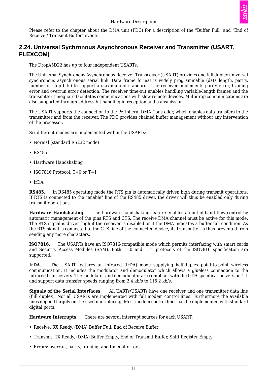

Please refer to the chapter about the DMA unit (PDC) for a description of the "Buffer Full" and "End of Receive / Transmit Buffer" events.

#### <span id="page-16-0"></span>**2.24. Universal Sychronous Asynchronous Receiver and Transmitter (USART, FLEXCOM)**

The DropA5D22 has up to four independent USARTs.

The Universal Synchronous Asynchronous Receiver Transceiver (USART) provides one full duplex universal synchronous asynchronous serial link. Data frame format is widely programmable (data length, parity, number of stop bits) to support a maximum of standards. The receiver implements parity error, framing error and overrun error detection. The receiver time-out enables handling variable-length frames and the transmitter timeguard facilitates communications with slow remote devices. Multidrop communications are also supported through address bit handling in reception and transmission.

The USART supports the connection to the Peripheral DMA Controller, which enables data transfers to the transmitter and from the receiver. The PDC provides chained buffer management without any intervention of the processor.

Six different modes are implemented within the USARTs:

- Normal (standard RS232 mode)
- RS485
- Hardware Handshaking
- ISO7816 Protocol:  $T=0$  or  $T=1$
- IrDA

**RS485.**  In RS485 operating mode the RTS pin is automatically driven high during transmit operations. If RTS is connected to the "enable" line of the RS485 driver, the driver will thus be enabled only during transmit operations.

**Hardware Handshaking.**  The hardware handshaking feature enables an out-of-band flow control by automatic management of the pins RTS and CTS. The receive DMA channel must be active for this mode. The RTS signal is driven high if the receiver is disabled or if the DMA indicates a buffer full condition. As the RTS signal is connected to the CTS line of the connected device, its transmitter is thus prevented from sending any more characters.

**ISO7816.**  The USARTs have an ISO7816-compatible mode which permits interfacing with smart cards and Security Access Modules (SAM). Both  $T=0$  and  $T=1$  protocols of the ISO7816 specification are supported.

**IrDA.**  The USART features an infrared (IrDA) mode supplying half-duplex point-to-point wireless communication. It includes the modulator and demodulator which allows a glueless connection to the infrared transceivers. The modulator and demodulator are compliant with the IrDA specification version 1.1 and support data transfer speeds ranging from 2.4 kb/s to 115.2 kb/s.

**Signals of the Serial Interfaces.**  All UARTs/USARTs have one receiver and one transmitter data line (full duplex). Not all USARTs are implemented with full modem control lines. Furthermore the available lines depend largely on the used multiplexing. Most modem control lines can be implemented with standard digital ports.

**Hardware Interrupts.**  There are several interrupt sources for each USART:

- Receive: RX Ready, (DMA) Buffer Full, End of Receive Buffer
- Transmit: TX Ready, (DMA) Buffer Empty, End of Transmit Buffer, Shift Register Empty
- Errors: overrun, parity, framing, and timeout errors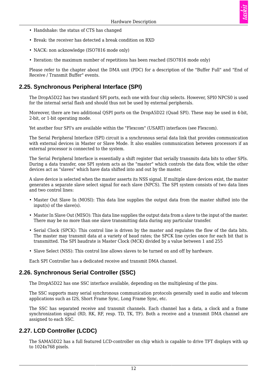- Handshake: the status of CTS has changed
- Break: the receiver has detected a break condition on RXD
- NACK: non acknowledge (ISO7816 mode only)
- Iteration: the maximum number of repetitions has been reached (ISO7816 mode only)

Please refer to the chapter about the DMA unit (PDC) for a description of the "Buffer Full" and "End of Receive / Transmit Buffer" events.

#### <span id="page-17-0"></span>**2.25. Synchronous Peripheral Interface (SPI)**

The DropA5D22 has two standard SPI ports, each one with four chip selects. However, SPI0 NPCS0 is used for the internal serial flash and should thus not be used by external peripherals.

Moreover, there are two additional QSPI ports on the DropA5D22 (Quad SPI). These may be used in 4-bit, 2-bit, or 1-bit operating mode.

Yet another four SPI's are available within the "Flexcom" (USART) interfaces (see Flexcom).

The Serial Peripheral Interface (SPI) circuit is a synchronous serial data link that provides communication with external devices in Master or Slave Mode. It also enables communication between processors if an external processor is connected to the system.

The Serial Peripheral Interface is essentially a shift register that serially transmits data bits to other SPIs. During a data transfer, one SPI system acts as the "master" which controls the data flow, while the other devices act as "slaves" which have data shifted into and out by the master.

A slave device is selected when the master asserts its NSS signal. If multiple slave devices exist, the master generates a separate slave select signal for each slave (NPCS). The SPI system consists of two data lines and two control lines:

- Master Out Slave In (MOSI): This data line supplies the output data from the master shifted into the input(s) of the slave(s).
- Master In Slave Out (MISO): This data line supplies the output data from a slave to the input of the master. There may be no more than one slave transmitting data during any particular transfer.
- Serial Clock (SPCK): This control line is driven by the master and regulates the flow of the data bits. The master may transmit data at a variety of baud rates; the SPCK line cycles once for each bit that is transmitted. The SPI baudrate is Master Clock (MCK) divided by a value between 1 and 255
- Slave Select (NSS): This control line allows slaves to be turned on and off by hardware.

Each SPI Controller has a dedicated receive and transmit DMA channel.

#### <span id="page-17-1"></span>**2.26. Synchronous Serial Controller (SSC)**

The DropA5D22 has one SSC interface available, depending on the multiplexing of the pins.

The SSC supports many serial synchronous communication protocols generally used in audio and telecom applications such as I2S, Short Frame Sync, Long Frame Sync, etc.

The SSC has separated receive and transmit channels. Each channel has a data, a clock and a frame synchronization signal (RD, RK, RF, resp. TD, TK, TF). Both a receive and a transmit DMA channel are assigned to each SSC.

#### <span id="page-17-2"></span>**2.27. LCD Controller (LCDC)**

The SAMA5D22 has a full featured LCD-controller on chip which is capable to drive TFT displays with up to 1024x768 pixels.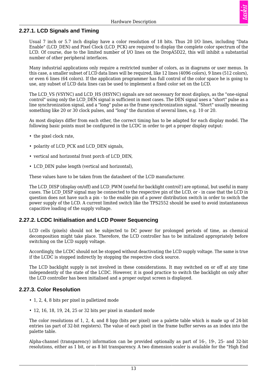#### <span id="page-18-0"></span>**2.27.1. LCD Signals and Timing**

Usual 7 inch or 5.7 inch display have a color resolution of 18 bits. Thus 20 I/O lines, including "Data Enable" (LCD\_DEN) and Pixel Clock (LCD\_PCK) are required to display the complete color spectrum of the LCD. Of course, due to the limited number of I/O lines on the DropA5D22, this will inhibit a substantial number of other peripheral interfaces.

Many industrial applications only require a restricted number of colors, as in diagrams or user menus. In this case, a smaller subset of LCD data lines will be required, like 12 lines (4096 colors), 9 lines (512 colors), or even 6 lines (64 colors). If the application programmer has full control of the color space he is going to use, any subset of LCD data lines can be used to implement a fixed color set on the LCD.

The LCD VS (VSYNC) and LCD HS (HSYNC) signals are not necessary for most displays, as the "one-signal control" using only the LCD\_DEN signal is sufficient in most cases. The DEN signal uses a "short" pulse as a line synchronization signal, and a "long" pulse as the frame synchronization signal. "Short" usually meaning something like 20 or 30 clock pulses, and "long" the duration of several lines, e.g. 10 or 20.

As most displays differ from each other, the correct timing has to be adapted for each display model. The following basic points must be configured in the LCDC in order to get a proper display output:

- the pixel clock rate,
- polarity of LCD\_PCK and LCD\_DEN signals,
- vertical and horizontal front porch of LCD\_DEN,
- LCD DEN pulse length (vertical and horizontal).

These values have to be taken from the datasheet of the LCD manufacturer.

The LCD DISP (display on/off) and LCD PWM (useful for backlight control!) are optional, but useful in many cases. The LCD\_DISP signal may be connected to the respective pin of the LCD, or - in case that the LCD in question does not have such a pin - to the enable pin of a power distribution switch in order to switch the power supply of the LCD. A current limited switch like the TPS2552 should be used to avoid instantaneous capacitive loading of the supply voltage.

#### <span id="page-18-1"></span>**2.27.2. LCDC Initialisation and LCD Power Sequencing**

LCD cells (pixels) should not be subjected to DC power for prolonged periods of time, as chemical decomposition might take place. Therefore, the LCD controller has to be initialized appropriately before switching on the LCD supply voltage.

Accordingly, the LCDC should not be stopped without deactivating the LCD supply voltage. The same is true if the LCDC is stopped indirectly by stopping the respective clock source.

The LCD backlight supply is not involved in these considerations. It may switched on or off at any time independently of the state of the LCDC. However, it is good practice to switch the backlight on only after the LCD controller has been initialised and a proper output screen is displayed.

#### <span id="page-18-2"></span>**2.27.3. Color Resolution**

- 1, 2, 4, 8 bits per pixel in palletized mode
- 12, 16, 18, 19, 24, 25 or 32 bits per pixel in standard mode

The color resolutions of 1, 2, 4, and 8 bpp (bits per pixel) use a palette table which is made up of 24-bit entries (as part of 32-bit registers). The value of each pixel in the frame buffer serves as an index into the palette table.

Alpha-channel (transparency) information can be provided optionally as part of 16-, 19-, 25- and 32-bit resolutions, either as 1 bit, or as 8 bit transparency. A two dimension scaler is available for the "High End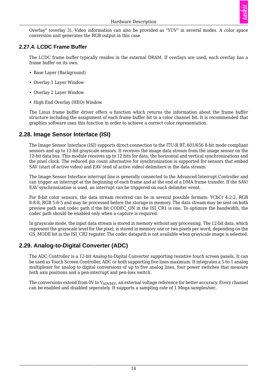

Overlay" (overlay 3). Video information can also be provided as "YUV" in several modes. A color space conversion unit generates the RGB output in this case.

#### <span id="page-19-0"></span>**2.27.4. LCDC Frame Buffer**

The LCDC frame buffer typically resides in the external DRAM. If overlays are used, each overlay has a frame buffer on its own.

- Base Layer (Background)
- Overlay 1 Layer Window
- Overlay 2 Layer Window
- High End Overlay (HEO) Window

The Linux frame buffer driver offers a function which returns the information about the frame buffer structure including the assignment of each frame buffer bit to a color channel bit. It is recommended that graphics software uses this function in order to achieve a correct color representation.

#### <span id="page-19-1"></span>**2.28. Image Sensor Interface (ISI)**

The Image Sensor Interface (ISI) supports direct connection to the ITU-R BT. 601/656 8-bit mode compliant sensors and up to 12-bit grayscale sensors. It receives the image data stream from the image sensor on the 12-bit data bus. This module receives up to 12 bits for data, the horizontal and vertical synchronizations and the pixel clock. The reduced pin count alternative for synchronization is supported for sensors that embed SAV (start of active video) and EAV (end of active video) delimiters in the data stream.

The Image Sensor Interface interrupt line is generally connected to the Advanced Interrupt Controller and can trigger an interrupt at the beginning of each frame and at the end of a DMA frame transfer. If the SAV/ EAV synchronization is used, an interrupt can be triggered on each delimiter event.

For 8-bit color sensors, the data stream received can be in several possible formats: YCbCr 4:2:2, RGB 8:8:8, RGB 5:6:5 and may be processed before the storage in memory. The data stream may be sent on both preview path and codec path if the bit CODEC\_ON in the ISI\_CR1 is one. To optimize the bandwidth, the codec path should be enabled only when a capture is required.

In grayscale mode, the input data stream is stored in memory without any processing. The 12-bit data, which represent the grayscale level for the pixel, is stored in memory one or two pixels per word, depending on the GS MODE bit in the ISI CR2 register. The codec datapath is not available when grayscale image is selected.

#### <span id="page-19-2"></span>**2.29. Analog-to-Digital Converter (ADC)**

The ADC Controller is a 12-bit Analog-to-Digital Converter supporting resistive touch screen panels. It can be used as Touch Screen Controller, ADC or both supporting five lines maximum. It integrates a 5-to-1 analog multiplexer for analog to digital conversions of up to five analog lines, four power switches that measure both axis positions and a pen-interrupt and pen-loss switch.

The conversions extend from  $0V$  to  $V_{ADVREF}$ , an external voltage reference for better accuracy. Every channel can be enabled and disabled seperately. It supports a sampling rate of 1 Mega-samples/sec.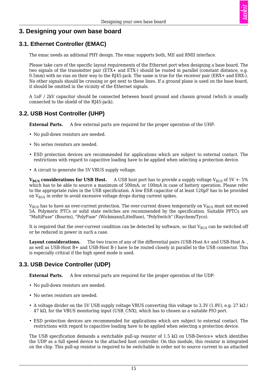

#### <span id="page-20-0"></span>**3. Designing your own base board**

#### <span id="page-20-1"></span>**3.1. Ethernet Controller (EMAC)**

The emac needs an aditional PHY design. The emac supports both, MII and RMII interface.

Please take care of the specific layout requirements of the Ethernet port when designing a base board. The two signals of the transmitter pair (ETX+ and ETX-) should be routed in parallel (constant distance, e.g. 0.5mm) with no vias on their way to the RJ45-jack. The same is true for the receiver pair (ERX+ and ERX-). No other signals should be crossing or get next to these lines. If a ground plane is used on the base board, it should be omitted in the vicinity of the Ethernet signals.

A 1nF / 2kV capacitor should be connected between board ground and chassis ground (which is usually connected to the shield of the RJ45-jack).

#### <span id="page-20-2"></span>**3.2. USB Host Controller (UHP)**

**External Parts.** A few external parts are required for the proper operation of the UHP:

- No pull-down resistors are needed.
- No series resistors are needed.
- ESD protection devices are recommended for applications which are subject to external contact. The restrictions with regard to capacitive loading have to be applied when selecting a protection device.
- A circuit to generate the 5V VBUS supply voltage.

**V<sub>BUS</sub>** considerations for USB Host. A USB host port has to provide a supply voltage V<sub>BUS</sub> of 5V +- 5% which has to be able to source a maximum of 500mA, or 100mA in case of battery operation. Please refer to the appropriate rules in the USB specification. A low ESR capacitor of at least 120µF has to be provided on  $V_{\text{BUS}}$  in order to avoid excessive voltage drops during current spikes.

 $V_{\text{BUS}}$  has to have an over-current protection. The over-current drawn temporarily on  $V_{\text{BUS}}$  must not exceed 5A. Polymeric PTCs or solid state switches are recommended by the specification. Suitable PPTCs are "MultiFuse" (Bourns), "PolyFuse" (Wickmann/Littelfuse), "PolySwitch" (Raychem/Tyco).

It is required that the over-current condition can be detected by software, so that  $V_{BUS}$  can be switched off or be reduced in power in such a case.

**Layout considerations.**  The two traces of any of the differential pairs (USB-Host A+ and USB-Host A- , as well as USB-Host B+ and USB-Host B-) have to be routed closely in parallel to the USB connector. This is especially critical if the high speed mode is used.

#### <span id="page-20-3"></span>**3.3. USB Device Controller (UDP)**

**External Parts.** A few external parts are required for the proper operation of the UDP:

- No pull-down resistors are needed.
- No series resistors are needed.
- A voltage divider on the 5V USB supply voltage VBUS converting this voltage to 3.3V (1.8V), e.g. 27 k $\Omega$  / 47 kΩ, for the VBUS monitoring input (USB\_CNX), which has to chosen as a suitable PIO port.
- ESD protection devices are recommended for applications which are subject to external contact. The restrictions with regard to capacitive loading have to be applied when selecting a protection device.

The USB specification demands a switchable pull-up resistor of 1.5 k $\Omega$  on USB-Device+ which identifies the UDP as a full speed device to the attached host controller. On this module, this resistor is integrated on the chip. This pull-up resistor is required to be switchable in order not to source current to an attached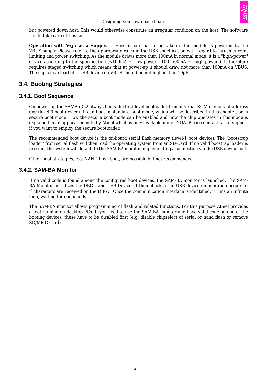

but powered down host. This would otherwise constitute an irregular condition on the host. The software has to take care of this fact.

**Operation with V<sub>BUS</sub>** as a Supply. Special care has to be taken if the module is powered by the VBUS supply. Please refer to the appropriate rules in the USB specification with regard to inrush current limiting and power switching. As the module draws more than 100mA in normal mode, it is a "high-power" device according to the specification  $\langle 100 \text{mA} = \text{``low-power''}, 100..500 \text{mA} = \text{``high-power''}.$  It therefore requires staged switching which means that at power-up it should draw not more than 100mA on VBUS. The capacitive load of a USB device on VBUS should be not higher than 10µF.

#### <span id="page-21-0"></span>**3.4. Booting Strategies**

#### <span id="page-21-1"></span>**3.4.1. Boot Sequence**

On power-up the SAMA5D22 always boots the first level bootloader from internal ROM memory at address 0x0 (level-0 boot device). It can boot in standard boot mode, which will be described in this chapter, or in secure boot mode. How the secure boot mode can be enabled and how the chip operates in this mode is explained in an application note by Atmel which is only available under NDA. Please contact taskit support if you want to employ the secure bootloader.

The recommended boot device is the on-board serial flash memory (level-1 boot device). The "bootstrap loader" from serial flash will then load the operating system from an SD-Card. If no valid boostrap loader is present, the system will default to the SAM-BA monitor, implementing a connection via the USB device port.

Other boot strategies, e.g. NAND flash boot, are possible but not recommended.

#### <span id="page-21-2"></span>**3.4.2. SAM-BA Monitor**

If no valid code is found among the configured boot devices, the SAM-BA monitor is launched. The SAM-BA Monitor initializes the DBGU and USB-Device. It then checks if an USB device enumeration occurs or if characters are received on the DBGU. Once the communication interface is identified, it runs an infinite loop, waiting for commands.

The SAM-BA monitor allows programming of flash and related functions. For this purpose Atmel provides a tool running on desktop PCs. If you need to use the SAM-BA monitor and have valid code on one of the booting devices, these have to be disabled first (e.g. disable chipselect of serial or nand flash or remove SD/MMC-Card).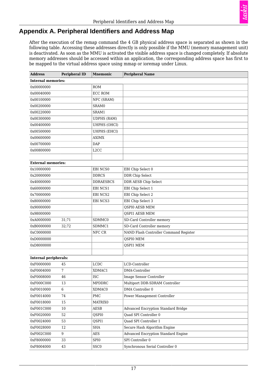#### <span id="page-22-0"></span>**Appendix A. Peripheral Identifiers and Address Map**

After the execution of the remap command the 4 GB physical address space is separated as shown in the following table. Accessing these addresses directly is only possible if the MMU (memory management unit) is deactivated. As soon as the MMU is activated the visible address space is changed completely. If absolute memory addresses should be accessed within an application, the corresponding address space has first to be mapped to the virtual address space using mmap or ioremap under Linux.

<span id="page-22-1"></span>

| <b>Address</b>               | <b>Peripheral ID</b> | <b>Mnemonic</b>               | <b>Peripheral Name</b>                     |
|------------------------------|----------------------|-------------------------------|--------------------------------------------|
| <b>Internal memories:</b>    |                      |                               |                                            |
| 0x00000000                   |                      | <b>ROM</b>                    |                                            |
| 0x00040000                   |                      | <b>ECC ROM</b>                |                                            |
| 0x00100000                   |                      | NFC (SRAM)                    |                                            |
| 0x00200000                   |                      | SRAM0                         |                                            |
| 0x00220000                   |                      | SRAM1                         |                                            |
| 0x00300000                   |                      | <b>UDPHS (RAM)</b>            |                                            |
| 0x00400000                   |                      | UHPHS (OHCI)                  |                                            |
| 0x00500000                   |                      | <b>UHPHS (EHCI)</b>           |                                            |
| 0x00600000                   |                      | <b>AXIMX</b>                  |                                            |
| 0x00700000                   |                      | <b>DAP</b>                    |                                            |
| 0x00800000                   |                      | L <sub>2</sub> CC             |                                            |
|                              |                      |                               |                                            |
| <b>External memories:</b>    |                      |                               |                                            |
| 0x10000000                   |                      | EBI NCS0                      | EBI Chip Select 0                          |
| 0x20000000                   |                      | <b>DDRCS</b>                  | <b>DDR Chip Select</b>                     |
| 0x40000000                   |                      | <b>DDRAESBCS</b>              | DDR AESB Chip Select                       |
| 0x60000000                   |                      | EBI NCS1                      | EBI Chip Select 1                          |
| 0x70000000                   |                      | EBI NCS2                      | EBI Chip Select 2                          |
| 0x80000000                   |                      | EBI NCS3                      | EBI Chip Select 3                          |
| 0x90000000                   |                      |                               | QSPI0 AESB MEM                             |
| 0x98000000                   |                      |                               | QSPI1 AESB MEM                             |
| 0xA0000000                   | 31;71                | SDMMC0                        | SD-Card Controller memory                  |
| 0xB0000000                   | 32;72                | SDMMC1                        | SD-Card Controller memory                  |
| 0xC0000000                   |                      | NFC CR                        | NAND Flash Controller Command Register     |
| 0xD0000000                   |                      |                               | QSPI0 MEM                                  |
| 0xD8000000                   |                      |                               | QSPI1 MEM                                  |
|                              |                      |                               |                                            |
| <b>Internal peripherals:</b> |                      |                               |                                            |
| 0xF0000000                   | 45                   | <b>LCDC</b>                   | LCD-Controller                             |
| 0xF0004000                   | $\overline{7}$       | XDMAC1                        | DMA-Controller                             |
| 0xF0008000                   | 46                   | <b>ISC</b>                    | Image Sensor Controller                    |
| 0xF000C000                   | 13                   | <b>MPDDRC</b>                 | Multiport DDR-SDRAM Controller             |
| 0xF0010000                   | 6                    | XDMAC0                        | DMA Controller 0                           |
| 0xF0014000                   | 74                   | PMC                           | Power Management Controller                |
| 0xF0018000                   | 15                   | <b>MATRIX0</b>                |                                            |
| 0xF001C000                   | 10                   | <b>AESB</b>                   | <b>Advanced Encryption Standard Bridge</b> |
| 0xF0020000                   | 52                   | QSPI0                         | Quad SPI Controller 0                      |
| 0xF0024000                   | 53                   | QSPI1                         | Quad SPI Controller 1                      |
| 0xF0028000                   | 12                   | SHA                           | Secure Hash Algorithm Engine               |
| 0xF002C000                   | 9                    | $\mathbf A\mathbf E\mathbf S$ | <b>Advanced Encryption Standard Engine</b> |
| 0xF8000000                   | 33                   | SPI0                          | SPI Controller 0                           |
| 0xF8004000                   | 43                   | SSC <sub>0</sub>              | Synchronous Serial Controller 0            |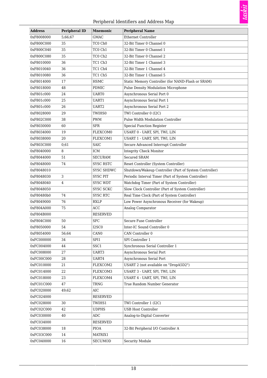# taskit

#### Peripheral Identifiers and Address Map

| <b>Address</b> | <b>Peripheral ID</b> | <b>Mnemonic</b>   | <b>Peripheral Name</b>                                 |
|----------------|----------------------|-------------------|--------------------------------------------------------|
| 0xF8008000     | 5;66;67              | <b>GMAC</b>       | Ethernet Controller                                    |
| 0xF800C000     | 35                   | TC0 Ch0           | 32-Bit Timer 0 Channel 0                               |
| 0xF800C040     | 35                   | TC0 Ch1           | 32-Bit Timer 0 Channel 1                               |
| 0xF800C080     | 35                   | TC0 Ch2           | 32-Bit Timer 0 Channel 2                               |
| 0xF8010000     | 36                   | TC1 Ch3           | 32-Bit Timer 1 Channel 3                               |
| 0xF8010040     | 36                   | TC1 Ch4           | 32-Bit Timer 1 Channel 4                               |
| 0xF8010080     | 36                   | TC1 Ch5           | 32-Bit Timer 1 Channel 5                               |
| 0xF8014000     | 17                   | <b>HSMC</b>       | Static Memory Controller (for NAND-Flash or SRAM)      |
| 0xF8018000     | 48                   | <b>PDMIC</b>      | <b>Pulse Density Modulation Microphone</b>             |
| 0xF801c000     | 24                   | <b>UART0</b>      | Asynchronous Serial Port 0                             |
| 0xF801c000     | 25                   | UART1             | Asynchronous Serial Port 1                             |
| 0xF801c000     | 26                   | UART2             | Asynchronous Serial Port 2                             |
| 0xF8028000     | 29                   | TWIHS0            | TWI Controller 0 (I2C)                                 |
| 0xF802C000     | 38                   | <b>PWM</b>        | Pulse Width Modulation Controller                      |
| 0xF8030000     | 60                   | <b>SFR</b>        | Special Function Register                              |
| 0xF8034000     | 19                   | FLEXCOM0          | USART 0 - UART, SPI, TWI, LIN                          |
| 0xF8038000     | 20                   | FLEXCOM1          | USART 1 - UART, SPI, TWI, LIN                          |
| 0xF803C000     | 0;61                 | <b>SAIC</b>       | Secure Advanced Interrupt Controller                   |
| 0xF8040000     | 8                    | ICM               | <b>Integrity Check Monitor</b>                         |
| 0xF8044000     | 51                   | <b>SECURAM</b>    | <b>Secured SRAM</b>                                    |
| 0xF8048000     | 74                   | <b>SYSC RSTC</b>  | Reset Controller (System Controller)                   |
| 0xF8048010     |                      | <b>SYSC SHDWC</b> | Shutdown/Wakeup Controller (Part of System Controller) |
| 0xF8048030     | 3                    | <b>SYSC PIT</b>   | Periodic Interval Timer (Part of System Controller)    |
| 0xF8048040     | $\overline{4}$       | <b>SYSC WDT</b>   | Watchdog Timer (Part of System Controller)             |
| 0xF8048050     |                      | <b>SYSC SCKC</b>  | Slow Clock Controller (Part of System Controller)      |
| 0xF80480b0     | 74                   | <b>SYSC RTC</b>   | Real Time Clock (Part of System Controller)            |
| 0xF8049000     | 76                   | <b>RXLP</b>       | Low Power Asynchronous Receiver (for Wakeup)           |
| 0xF804A000     | 75                   | ACC               | Analog Comparator                                      |
| 0xF804B000     |                      | <b>RESERVED</b>   |                                                        |
| 0xF804C000     | 50                   | <b>SFC</b>        | Secure Fuse Controller                                 |
| 0xF8050000     | 54                   | I2SC0             | Inter-IC Sound Controller 0                            |
| 0xF8054000     | 56;64                | CAN <sub>0</sub>  | CAN Controller 0                                       |
| 0xFC000000     | 34                   | SPI1              | SPI Controller 1                                       |
| 0xFC004000     | 44                   | SSC1              | Synchronous Serial Controller 1                        |
| 0xFC008000     | 27                   | UART3             | Asynchronous Serial Port                               |
| 0xFC00C000     | 28                   | UART4             | Asynchronous Serial Port                               |
| 0xFC010000     | 21                   | FLEXCOM2          | USART 2 (not available on "DropA5D2")                  |
| 0xFC014000     | 22                   | FLEXCOM3          | USART 3 - UART, SPI, TWI, LIN                          |
| 0xFC018000     | 23                   | FLEXCOM4          | USART 4 - UART, SPI, TWI, LIN                          |
| 0xFC01C000     | 47                   | TRNG              | True Random Number Generator                           |
| 0xFC020000     | 49;62                | <b>AIC</b>        |                                                        |
| 0xFC024000     |                      | <b>RESERVED</b>   |                                                        |
| 0xFC028000     | 30                   | TWIHS1            | TWI Controller 1 (I2C)                                 |
| 0xFC02C000     | 42                   | <b>UDPHS</b>      | <b>USB Host Controller</b>                             |
| 0xFC030000     | 40                   | ADC               | Analog-to-Digital Converter                            |
| 0xFC034000     |                      | <b>RESERVED</b>   |                                                        |
| 0xFC038000     | 18                   | <b>PIOA</b>       | 32-Bit Peripheral I/O Controller A                     |
| 0xFC03C000     | 14                   | MATRIX1           |                                                        |
| 0xFC040000     | $16\,$               | <b>SECUMOD</b>    | <b>Security Module</b>                                 |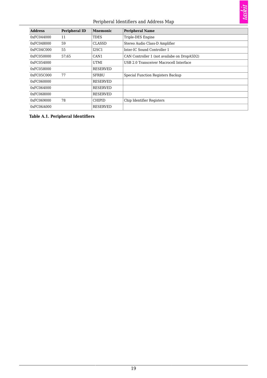#### Peripheral Identifiers and Address Map

| <b>Address</b> | <b>Peripheral ID</b> | <b>Mnemonic</b>  | <b>Peripheral Name</b>                      |
|----------------|----------------------|------------------|---------------------------------------------|
| 0xFC044000     | 11                   | TDES             | Triple-DES Engine                           |
| 0xFC048000     | 59                   | <b>CLASSD</b>    | Stereo Audio Class-D Amplifier              |
| 0xFC04C000     | 55                   | I2SC1            | Inter-IC Sound Controller 1                 |
| 0xFC050000     | 57:65                | CAN <sub>1</sub> | CAN Controller 1 (not availabe on DropA5D2) |
| 0xFC054000     |                      | <b>UTMI</b>      | USB 2.0 Transceiver Macrocell Interface     |
| 0xFC058000     |                      | <b>RESERVED</b>  |                                             |
| 0xFC05C000     | 77                   | <b>SFRBU</b>     | Special Function Registers Backup           |
| 0xFC060000     |                      | <b>RESERVED</b>  |                                             |
| 0xFC064000     |                      | <b>RESERVED</b>  |                                             |
| 0xFC068000     |                      | <b>RESERVED</b>  |                                             |
| 0xFC069000     | 78                   | <b>CHIPID</b>    | Chip Identifier Registers                   |
| 0xFC06A000     |                      | <b>RESERVED</b>  |                                             |

#### **Table A.1. Peripheral Identifiers**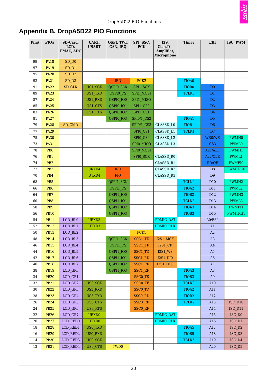

# <span id="page-25-0"></span>**Appendix B. DropA5D22 PIO Functions**

<span id="page-25-1"></span>

| Pin#     | PIO#            | SD-Card,<br>LCD,<br>EMAC, ADC | UART,<br><b>USART</b> | QSPI, TWI,<br>CAN, IRQ | SPI, SSC,<br><b>PCK</b> | I2S,<br>ClassD-<br>Amplifier,<br>Microphone | <b>Timer</b>      | <b>EBI</b>      | ISC, PWM          |
|----------|-----------------|-------------------------------|-----------------------|------------------------|-------------------------|---------------------------------------------|-------------------|-----------------|-------------------|
| 99       | <b>PA18</b>     | SD D <sub>0</sub>             |                       |                        |                         |                                             |                   |                 |                   |
| 97       | <b>PA19</b>     | $SD_$ 1                       |                       |                        |                         |                                             |                   |                 |                   |
| 95       | <b>PA20</b>     | SD D2                         |                       |                        |                         |                                             |                   |                 |                   |
| 93       | <b>PA21</b>     | $SD_$ $D3$                    |                       | <b>IRQ</b>             | PCK <sub>2</sub>        |                                             | TIOA0             |                 |                   |
| $\rm 91$ | <b>PA22</b>     | SD CLK                        | US1_SCK               | QSPI0 SCK              | SPI1 SCK                |                                             | TIOB <sub>0</sub> | D <sub>0</sub>  |                   |
| 89       | <b>PA23</b>     |                               | US1 TXD               | QSPI0 CS               | SPI1 MOSI               |                                             | <b>TCLK0</b>      | D1              |                   |
| 87       | <b>PA24</b>     |                               | US1 RXD               | QSPI0 IO0              | SPI1 MISO               |                                             |                   | D <sub>2</sub>  |                   |
| 85       | <b>PA25</b>     |                               | US1 CTS               | QSPI0 IO1              | SPI1 CS0                |                                             |                   | D <sub>3</sub>  |                   |
| 83       | <b>PA26</b>     |                               | US1 RTS               | QSPI0 IO2              | SPI1 CS1                |                                             |                   | D <sub>4</sub>  |                   |
| 81       | <b>PA27</b>     |                               |                       | QSPI0 IO3              | SPI0/1 CS2              |                                             | TIOA1             | D <sub>5</sub>  |                   |
| 79       | <b>PA28</b>     | SD CMD                        |                       |                        | <b>SPI0/1 CS3</b>       | CLASSD L0                                   | TIOB1             | D <sub>6</sub>  |                   |
| 77       | <b>PA29</b>     |                               |                       |                        | SPIO CS1                | CLASSD L1                                   | TCLK1             | D7              |                   |
| 75       | <b>PA30</b>     |                               |                       |                        | SPIO CSO                | CLASSD L2                                   |                   | WR0/WE          | PWMH0             |
| 73       | <b>PA31</b>     |                               |                       |                        | SPI0 MISO               | CLASSD L3                                   |                   | CS <sub>3</sub> | <b>PWML0</b>      |
| 78       | PB <sub>0</sub> |                               |                       |                        | SPI0 MOSI               |                                             |                   | A21/ALE         | PWMH1             |
| 76       | PB1             |                               |                       |                        | SPIO SCK                | CLASSD R0                                   |                   | A22/CLE         | PWML1             |
| 74       | PB <sub>2</sub> |                               |                       |                        |                         | CLASSD R1                                   |                   | RD/OE           | <b>PWMFI0</b>     |
| 72       | PB <sub>3</sub> |                               | URXD4                 | <b>IRQ</b>             |                         | CLASSD R2                                   |                   | D <sub>8</sub>  | PWMTRG0           |
| 70       | PB4             |                               | UTXD4                 | <b>FIQ</b>             |                         | CLASSD R3                                   |                   | D <sub>9</sub>  |                   |
| 68       | PB <sub>5</sub> |                               |                       | QSPI1 SCK              |                         |                                             | TCLK2             | D <sub>10</sub> | PWMH <sub>2</sub> |
| 66       | PB <sub>6</sub> |                               |                       | QSPI1 CS               |                         |                                             | TIOA2             | D11             | PWML2             |
| 64       | PB7             |                               |                       | QSPI1 IO0              |                         |                                             | TIOB <sub>2</sub> | D <sub>12</sub> | PWMH3             |
| 60       | PB8             |                               |                       | QSPI1_IO1              |                         |                                             | TCLK3             | D13             | PWML3             |
| 58       | PB9             |                               |                       | <b>QSPI1 IO2</b>       |                         |                                             | TIOA3             | D14             | PWMFI1            |
| 56       | <b>PB10</b>     |                               |                       | QSPI1 IO3              |                         |                                             | TIOB <sub>3</sub> | D <sub>15</sub> | PWMTRG1           |
| 54       | <b>PB11</b>     | LCD BL0                       | URXD3                 |                        |                         | PDMIC DAT                                   |                   | A0/BS0          |                   |
| 52       | <b>PB12</b>     | LCD BL1                       | UTXD3                 |                        |                         | PDMIC CLK                                   |                   | A1              |                   |
| 50       | <b>PB13</b>     | LCD BL2                       |                       |                        | PCK1                    |                                             |                   | A2              |                   |
| 48       | <b>PB14</b>     | LCD BL3                       |                       | QSPI1 SCK              | <b>SSC1 TK</b>          | I2S1 MCK                                    |                   | A3              |                   |
| 46       | <b>PB15</b>     | LCD_BL4                       |                       | QSPI1 CS               | SSC1 TF                 | <b>I2S1_CK</b>                              |                   | A4              |                   |
| 44       | <b>PB16</b>     | LCD_BL5                       |                       | QSPI1_IO0              | SSC1_TD                 | $I2S1$ <sub>_</sub> WS                      |                   | A5              |                   |
| 42       | <b>PB17</b>     | LCD_BL6                       |                       | QSPI1_IO1              | SSC1_RD                 | I2S1_DI0                                    |                   | A6              |                   |
| 40       | <b>PB18</b>     | LCD_BL7                       |                       | QSPI1_IO2              | SSC1_RK                 | I2S1_DO0                                    |                   | A7              |                   |
| 38       | <b>PB19</b>     | LCD_GR0                       |                       | <b>QSPI1 IO3</b>       | SSC1_RF                 |                                             | TIOA3             | A <sub>8</sub>  |                   |
| 34       | <b>PB20</b>     | LCD GR1                       |                       |                        | <b>SSCO TK</b>          |                                             | TIOB <sub>3</sub> | A <sub>9</sub>  |                   |
| 32       | <b>PB21</b>     | LCD GR2                       | US3_SCK               |                        | SSCO TF                 |                                             | TCLK3             | A10             |                   |
| 30       | <b>PB22</b>     | LCD_GR3                       | US3_RXD               |                        | SSC0_TD                 |                                             | TIOA <sub>2</sub> | A11             |                   |
| 28       | <b>PB23</b>     | LCD_GR4                       | US3_TXD               |                        | SSC <sub>0_RD</sub>     |                                             | TIOB <sub>2</sub> | A12             |                   |
| 26       | <b>PB24</b>     | LCD_GR5                       | US3_CTS               |                        | <b>SSCO RK</b>          |                                             | TCLK2             | A13             | ISC_D10           |
| 24       | <b>PB25</b>     | LCD_GR6                       | US3_RTS               |                        | <b>SSCO RF</b>          |                                             |                   | A14             | $ISC_$ $D11$      |
| 22       | <b>PB26</b>     | LCD_GR7                       | URXD <sub>0</sub>     |                        |                         | PDMIC DAT                                   |                   | A15             | $ISC_$ $D0$       |
| 20       | <b>PB27</b>     | LCD_RED0                      | UTXD <sub>0</sub>     |                        |                         | PDMIC CLK                                   |                   | A16             | $ISC_$ $D1$       |
| 18       | <b>PB28</b>     | LCD_RED1                      | US0 TXD               |                        |                         |                                             | TIOA5             | A17             | $ISC_ D2$         |
| 16       | <b>PB29</b>     | LCD_RED2                      | US0 RXD               |                        |                         |                                             | TIOB <sub>5</sub> | A18             | $ISC_$ $D3$       |
| 14       | <b>PB30</b>     | LCD_RED3                      | US0 SCK               |                        |                         |                                             | TCLK5             | A19             | ISC_D4            |
| 12       | <b>PB31</b>     | LCD_RED4                      | US0 CTS               | TWD0                   |                         |                                             |                   | A20             | $ISC_$ $D5$       |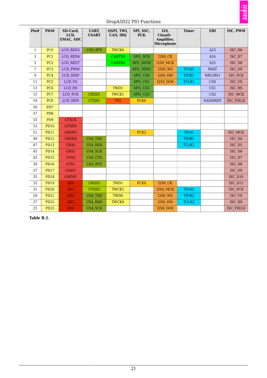#### DropA5D22 PIO Functions

| Pin#         | PIO#            | SD-Card,<br>LCD,<br>EMAC, ADC | <b>UART,</b><br><b>USART</b> | QSPI, TWI,<br>CAN, IRQ | SPI, SSC,<br><b>PCK</b> | I2S,<br>ClassD-<br>Amplifier,<br><b>Microphone</b> | <b>Timer</b>      | <b>EBI</b>      | ISC, PWM         |
|--------------|-----------------|-------------------------------|------------------------------|------------------------|-------------------------|----------------------------------------------------|-------------------|-----------------|------------------|
| $\mathbf{1}$ | PC <sub>0</sub> | LCD RED5                      | US0 RTS                      | <b>TWCK0</b>           |                         |                                                    |                   | A23             | ISC D6           |
| 3            | PC1             | LCD RED6                      |                              | CANTX0                 | SPI1 SCK                | <b>I2S0 CK</b>                                     |                   | A24             | ISC D7           |
| 5            | PC <sub>2</sub> | LCD RED7                      |                              | <b>CANRX0</b>          | SPI1 MOSI               | I2S0 MCK                                           |                   | A25             | ISC D8           |
| 7            | PC <sub>3</sub> | LCD PWM                       |                              |                        | SPI1 MISO               | <b>I2S0 WS</b>                                     | TIOA1             | <b>WAIT</b>     | ISC D9           |
| 9            | PC4             | LCD DISP                      |                              |                        | SPI1 CS0                | <b>I2S0 DI0</b>                                    | TIOB1             | WR1/BS1         | ISC PCK          |
| 11           | PC <sub>5</sub> | LCD VS                        |                              |                        | SPI1 CS1                | <b>I2S0 DO0</b>                                    | TCLK1             | CS <sub>0</sub> | ISC VS           |
| 13           | PC <sub>6</sub> | LCD HS                        |                              | TWD1                   | SPI1 CS2                |                                                    |                   | CS1             | ISC_HS           |
| 15           | PC7             | LCD PCK                       | URXD1                        | TWCK1                  | SPI1 CS3                |                                                    |                   | CS <sub>2</sub> | ISC MCK          |
| 19           | PC <sub>8</sub> | LCD DEN                       | UTXD1                        | <b>FIQ</b>             | <b>PCK0</b>             |                                                    |                   | <b>NANDRDY</b>  | ISC FIELD        |
| 59           | PD7             |                               |                              |                        |                         |                                                    |                   |                 |                  |
| 57           | PD <sub>8</sub> |                               |                              |                        |                         |                                                    |                   |                 |                  |
| 55           | PD <sub>9</sub> | <b>GTXCK</b>                  |                              |                        |                         |                                                    |                   |                 |                  |
| 53           | <b>PD10</b>     | <b>GTXEN</b>                  |                              |                        |                         |                                                    |                   |                 |                  |
| 51           | <b>PD11</b>     | <b>GRXDV</b>                  |                              |                        | PCK <sub>2</sub>        |                                                    | TIOA1             |                 | ISC MCK          |
| 49           | <b>PD12</b>     | <b>GRXER</b>                  | <b>US4 TXD</b>               |                        |                         |                                                    | TIOB1             |                 | ISC D4           |
| 47           | <b>PD13</b>     | GRX0                          | <b>US4 RXD</b>               |                        |                         |                                                    | TCLK1             |                 | ISC D5           |
| 45           | <b>PD14</b>     | GRX1                          | <b>US4 SCK</b>               |                        |                         |                                                    |                   |                 | ISC D6           |
| 43           | <b>PD15</b>     | GTX0                          | US4 CTS                      |                        |                         |                                                    |                   |                 | ISC_D7           |
| 39           | <b>PD16</b>     | GTX1                          | US4 RTS                      |                        |                         |                                                    |                   |                 | ISC D8           |
| 37           | <b>PD17</b>     | <b>GMDC</b>                   |                              |                        |                         |                                                    |                   |                 | ISC D9           |
| 35           | <b>PD18</b>     | <b>GMDIO</b>                  |                              |                        |                         |                                                    |                   |                 | ISC D10          |
| 33           | <b>PD19</b>     | AD <sub>0</sub>               | URXD <sub>2</sub>            | TWD1                   | <b>PCK0</b>             | <b>I2S0 CK</b>                                     |                   |                 | ISC D11          |
| 31           | <b>PD20</b>     | AD1                           | UTXD2                        | TWCK1                  |                         | I2S0 MCK                                           | TIOA2             |                 | ISC PCK          |
| 29           | <b>PD21</b>     | AD <sub>2</sub>               | <b>US4 TXD</b>               | TWD <sub>0</sub>       |                         | <b>I2S0 WS</b>                                     | TIOB <sub>2</sub> |                 | ISC VS           |
| 27           | <b>PD22</b>     | AD <sub>3</sub>               | US4 RXD                      | <b>TWCK0</b>           |                         | <b>I2S0 DI0</b>                                    | TCLK2             |                 | ISC_HS           |
| 25           | <b>PD23</b>     | AD4                           | <b>US4 SCK</b>               |                        |                         | <b>I2S0 DO0</b>                                    |                   |                 | <b>ISC FIELD</b> |

**Table B.1.**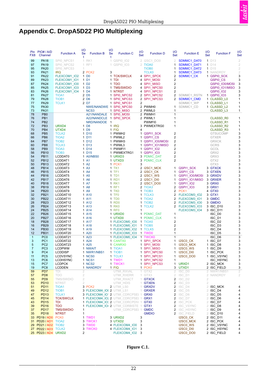

# <span id="page-27-1"></span><span id="page-27-0"></span>**Appendix C. DropA5D22 PIO Multiplexing**

| Pin<br>FX8     | PIO# / A/D<br>Channel                             | <b>Function A</b>    | I/O<br>Se<br>t    | 1/O<br><b>Se</b><br><b>Function B</b><br>t   | <b>Function C</b>                | I/O<br>Set   | <b>Function D</b>         | 1/O<br>Set                                | <b>Function E</b>             | I/O<br>Set     | <b>Function F</b>               | 1/O<br><b>Set</b>   |
|----------------|---------------------------------------------------|----------------------|-------------------|----------------------------------------------|----------------------------------|--------------|---------------------------|-------------------------------------------|-------------------------------|----------------|---------------------------------|---------------------|
| 99             | <b>PA18</b>                                       | SPIO NPCS1           |                   | 1 RK1                                        | 1 QSPI0 102                      |              | 2 I2SC1 DO0               | 2                                         | SDMMC1 DAT0                   |                | $1\overline{D13}$               | $\sqrt{2}$          |
| 97             | <b>PA19</b>                                       | SPIO NPCS2           |                   | 1 RF1                                        | 1 QSPI0 103                      | 2            | <b>TIOA0</b>              | 1                                         | SDMMC1 DAT1                   |                | $1\quad14$                      | $\sqrt{2}$          |
| 95             | <b>PA20</b>                                       | SPIO NPCS3           | 1                 |                                              |                                  |              | <b>TIOB0</b>              | 1                                         | SDMMC1 DAT2                   |                | $1\quad1015$                    | $\sqrt{2}$          |
| 93             | <b>PA21</b>                                       | <b>IRQ</b>           |                   | 2 PCK <sub>2</sub><br>3                      |                                  |              | <b>TCLK0</b>              | 1                                         | SDMMC1 DAT3                   |                | 1 NANDRDY                       | $\sqrt{2}$          |
| 91             | <b>PA22</b>                                       | FLEXCOM1 IO2         |                   | 1 D <sub>0</sub>                             | 1 TCK/SWCLK                      |              | 4 SPI1 SPCK               | $\overline{\mathbf{c}}$                   | <b>SDMMC1 CK</b>              |                | 1 QSPI0 SCK                     | 3                   |
| 89             | <b>PA23</b>                                       | FLEXCOM1 IO1         |                   | 1 D1                                         | 1 TDI                            |              | 4 SPI1_MOSI               | $\overline{\mathbf{c}}$                   |                               |                | QSPI0 CS                        | 3                   |
| 87             | <b>PA24</b>                                       | FLEXCOM1 IO0         |                   | 1 D <sub>2</sub>                             | 1 TDO                            |              | 4 SPI1 MISO               | $\overline{2}$                            |                               |                | QSPI0 IO0/MOSI                  | 3                   |
| 85             | <b>PA25</b>                                       | FLEXCOM1 IO3         |                   | 1 D <sub>3</sub>                             | 1 TMS/SWDIO                      |              | 4 SPI1_NPCS0              | $\overline{\mathbf{c}}$                   |                               |                | QSPI0_IO1/MISO                  | 3                   |
| 83             | <b>PA26</b>                                       | FLEXCOM1 IO4         |                   | 1 D4                                         | 1 NTRST                          |              | 4 SPI1_NPCS1              | $\overline{2}$                            |                               |                | QSPI0 IO2                       | 3                   |
| 81             | <b>PA27</b>                                       | TIOA1                |                   | 2 D <sub>5</sub>                             | 1 SPI0 NPCS2                     |              | 2 SPI1 NPCS2              | 2                                         | SDMMC1 RSTN                   |                | 1 QSPI0 103                     | 3                   |
| 79             | <b>PA28</b>                                       | TIOB <sub>1</sub>    |                   | 2 D <sub>6</sub>                             | 1 SPIO NPCS3                     | 2            | SPI1 NPCS3                | 2                                         | SDMMC1 CMD                    |                | 1 CLASSD LO                     | 1                   |
| 77<br>75       | <b>PA29</b><br><b>PA30</b>                        | <b>TCLK1</b>         |                   | 2 D7                                         | 1 SPI0 NPCS1                     | 2            | 2 PWMH0                   |                                           | SDMMC1 WP                     |                | 1 CLASSD L1                     | 1                   |
| 73             | PA31                                              |                      |                   | NWE/NANDWE 1 SPI0 NPCS0<br>NCS <sub>3</sub>  | 1 SPI0 MISO                      |              | 2 PWML0                   | 1<br>1                                    | SDMMC1 CD                     |                | 1 CLASSD L2<br><b>CLASSD L3</b> | 1<br>1              |
| 78             | PB <sub>0</sub>                                   |                      |                   | A21/NANDALE 1 SPI0 MOSI                      |                                  |              | 2 PWMH1                   | 1                                         |                               |                |                                 |                     |
| 76             | PB <sub>1</sub>                                   |                      |                   | A22/NANDCLE                                  | 1 SPI0 SPCK                      |              | 2 PWML1                   | $\mathbf{1}$                              |                               |                | <b>CLASSD R0</b>                | 1                   |
| 74             | PB <sub>2</sub>                                   |                      |                   | NRD/NANDOE<br>$\overline{1}$                 |                                  |              | PWMFI0                    | 1                                         |                               |                | CLASSD R1                       | 1                   |
| 72             | PB <sub>3</sub>                                   | URXD4                |                   | 1 D8                                         | 1 IRQ                            |              | 3 PWMEXTRG0               | 1                                         |                               |                | CLASSD R2                       | 1                   |
| 70             | PB <sub>4</sub>                                   | UTXD4                |                   | 1 D9                                         | 1 FIQ                            | 4            |                           |                                           |                               |                | CLASSD R3                       | 1                   |
| 68             | PB <sub>5</sub>                                   | <b>TCLK2</b>         |                   | 1 D <sub>10</sub>                            | 1 PWMH <sub>2</sub>              | 1            | QSPI1 SCK                 | $\overline{\mathbf{c}}$                   |                               |                | <b>GTSUCOMP</b>                 | 3                   |
| 66             | PB <sub>6</sub>                                   | TIOA <sub>2</sub>    |                   | 1 D11                                        | 1 PWML2                          | 1            | QSPI1 CS                  | $\overline{\mathbf{c}}$                   |                               |                | GTXER                           | 3                   |
| 64             | PB7                                               | TIOB <sub>2</sub>    |                   | 1 D12                                        | 1 PWMH3                          |              | 1 QSPI1   IO0/MOSI        | $\overline{2}$                            |                               |                | <b>GRXCK</b>                    | 3                   |
| 60             | PB <sub>8</sub>                                   | TCLK3                |                   | 1 D13                                        | 1 PWML3                          | 1            | QSPI1 IO1/MISO            | $\overline{2}$                            |                               |                | <b>GCRS</b>                     | 3                   |
| 58             | PB <sub>9</sub>                                   | TIOA3                |                   | 1 D14                                        | 1 PWMFI1                         | 1            | <b>QSPI1 102</b>          | $\overline{2}$                            |                               |                | GCOL                            | 3                   |
| 56             | <b>PB10</b>                                       | TIOB <sub>3</sub>    |                   | 1 D15                                        | 1 PWMEXTRG1                      |              | 1 QSPI1 103               | $\overline{2}$                            |                               |                | GRX2                            | 3                   |
| 54             | <b>PB11</b>                                       | LCDDAT0              |                   | 1 A0/NBS0                                    | 1 URXD3                          |              | 3 PDMIC DAT               | $\overline{\mathbf{c}}$                   |                               |                | GRX3                            | 3                   |
| 52             | <b>PB12</b>                                       | LCDDAT1              |                   | 1 A1                                         | 1 UTXD3                          |              | 3 PDMIC CLK               | $\overline{2}$                            |                               |                | GTX2                            | 3                   |
| 50             | <b>PB13</b>                                       | LCDDAT2              |                   | 1 A2<br>1 A3                                 | 1 PCK1<br>1 TK1                  | 3            |                           |                                           |                               |                | GTX3                            | 3<br>3              |
| 48<br>46       | <b>PB14</b><br><b>PB15</b>                        | LCDDAT3<br>LCDDAT4   |                   | 1 A4                                         | 1 TF1                            |              | 2 I2SC1 MCK<br>2 I2SC1 CK | 1<br>1                                    | QSPI1_SCK<br>QSPI1 CS         |                | 3 GTXCK<br>3 GTXEN              | 3                   |
| 44             | <b>PB16</b>                                       | LCDDAT5              |                   | 1 A <sub>5</sub>                             | 1 TD1                            |              | 2 I2SC1 WS                | 1                                         | QSPI1 IO0/MOSI                |                | 3 GRXDV                         | 3                   |
| 42             | <b>PB17</b>                                       | LCDDAT6              |                   | 1 A <sub>6</sub>                             | 1 RD1                            |              | 2 I2SC1 DI0               | 1                                         | QSPI1 IO1/MISO                |                | 3 GRXER                         | 3                   |
| 40             | <b>PB18</b>                                       | LCDDAT7              |                   | 1 A7                                         | 1 RK1                            |              | 2 I2SC1 DO0               | 1                                         | <b>QSPI1 102</b>              |                | 3 GRX0                          | 3                   |
| 38             | <b>PB19</b>                                       | LCDDAT8              |                   | 1 A <sub>8</sub>                             | 1 RF1                            |              | 2 TIOA3                   | $\overline{2}$                            | QSPI1_IO3                     |                | 3 GRX1                          | 3                   |
| 34             | <b>PB20</b>                                       | LCDDAT9              |                   | 1 A <sub>9</sub>                             | 1 TK0                            |              | 1 TIOB <sub>3</sub>       | 2                                         | PCK <sub>1</sub>              |                | 4 GTX0                          | 3                   |
| 32             | <b>PB21</b>                                       | LCDDAT10             |                   | 1 A10                                        | 1 TF0                            |              | 1 TCLK3                   | 2                                         | FLEXCOM3 IO2                  |                | 3 GTX1                          | 3                   |
| 30             | <b>PB22</b>                                       | LCDDAT <sub>11</sub> |                   | 1 A11                                        | 1 TD <sub>0</sub>                |              | 1 TIOA2                   | 2                                         | FLEXCOM3 IO1                  |                | 3 GMDC                          | 3                   |
| 28             | <b>PB23</b>                                       | LCDDAT12             |                   | 1 A12                                        | 1 RD0                            |              | 1 TIOB <sub>2</sub>       | 2                                         | FLEXCOM3 IO0                  |                | 3 GMDIO                         | 3                   |
| 26             | <b>PB24</b>                                       | LCDDAT13             |                   | 1 A13                                        | 1 RK0                            |              | 1 TCLK2                   |                                           | 2 FLEXCOM3 IO3                |                | 3 ISC D10                       | 3                   |
| 24             | <b>PB25</b>                                       | LCDDAT14             |                   | 1 A14                                        | 1 RF0                            | 1            |                           |                                           | FLEXCOM3 IO4                  |                | 3 ISC D11                       | 3                   |
| 22             | <b>PB26</b>                                       | LCDDAT15             |                   | 1 A15                                        | 1 URXD0                          | 1            | <b>PDMIC DAT</b>          | $\mathbf{1}$                              |                               |                | ISC_D0                          | 3                   |
| 20             | <b>PB27</b>                                       | LCDDAT16             |                   | 1 A16                                        | 1 UTXD0                          | 1            | <b>PDMIC CLK</b>          | $\mathbf{1}$                              |                               |                | ISC D1                          | 3                   |
| 18             | <b>PB28</b>                                       | LCDDAT17             |                   | 1 A17                                        | 1 FLEXCOM0 IO0                   |              | 1 TIOA5                   | $\overline{2}$                            |                               |                | ISC D <sub>2</sub>              | 3                   |
| 16<br>14       | <b>PB29</b><br><b>PB30</b>                        | LCDDAT18<br>LCDDAT19 |                   | 1 A18<br>1 A19                               | 1 FLEXCOM0 IO1<br>1 FLEXCOM0 IO2 |              | 1 TIOB5<br>1 TCLK5        | $\overline{2}$<br>$\overline{\mathbf{c}}$ |                               |                | ISC D3<br>ISC D4                | 3<br>3              |
| 12             | <b>PB31</b>                                       | LCDDAT20             |                   | 1 A20                                        | 1 FLEXCOM0 IO3                   |              | 1 TWD0                    | 1                                         |                               |                | ISC D5                          | 3                   |
| $\mathbf{1}$   | PC <sub>0</sub>                                   | LCDDAT21             |                   | 1 A23                                        | 1 FLEXCOM0 IO4                   | $\mathbf{1}$ | <b>TWCK0</b>              | $\mathbf{1}$                              |                               |                | ISC_D6                          | 3                   |
| 3              | PC <sub>1</sub>                                   | LCDDAT22             |                   | 1 A24                                        | 1 CANTX0                         |              | 1 SPI1 SPCK               | 1                                         | I2SCO CK                      |                | 1 ISC_D7                        | 3                   |
| 5              | PC <sub>2</sub>                                   | LCDDAT23             |                   | 1 A25                                        | 1 CANRX0                         |              | 1 SPI1 MOSI               | 1                                         | <b>I2SC0 MCK</b>              |                | 1 ISC D8                        | 3                   |
| $\overline{7}$ | PC <sub>3</sub>                                   | <b>LCDPWM</b>        |                   | 1 NWAIT                                      | 1 TIOA1                          |              | 1 SPI1 MISO               | $\mathbf{1}$                              | <b>I2SCO WS</b>               |                | 1 ISC D9                        | 3                   |
| 9              | PC4                                               | LCDDISP              |                   | 1 NWR1/NBS1                                  | 1 TIOB1                          |              | 1 SPI1_NPCS0              | 1                                         | <b>I2SC0_DI0</b>              |                | 1 ISC_PCK                       | 3                   |
| 11             | PC <sub>5</sub>                                   | <b>LCDVSYNC</b>      |                   | 1 NCS <sub>0</sub>                           | 1 TCLK1                          |              | 1 SPI1 NPCS1              | 1                                         | <b>I2SC0 DO0</b>              |                | 1 ISC_VSYNC                     | 3                   |
| 13             | PC <sub>6</sub>                                   | <b>LCDHSYNC</b>      |                   | 1 NCS1                                       | 1 TWD1                           |              | 1 SPI1 NPCS2              | 1                                         |                               |                | ISC_HSYNC                       | 3                   |
| 15             | PC7                                               | <b>LCDPCK</b>        |                   | 1 NCS2                                       | 1 TWCK1                          |              | 1 SPI1_NPCS3              | $\mathbf{1}$                              | URXD1                         |                | 2 ISC_MCK                       | 3                   |
| 19             | PC8                                               | <b>LCDDEN</b>        |                   | 1 NANDRDY                                    | 1 FIQ                            |              | 1 PCK0                    | 3                                         | UTXD1                         |                | 2 ISC FIELD                     | 3                   |
| 59<br>57       | PD7<br>PD <sub>8</sub>                            | TDI<br>TDO           | 2<br>$\mathbf{2}$ |                                              | UTMI RXVAL<br><b>UTMI RXERR</b>  | 1.<br>1.     | GTX2<br>GTX3              | $\overline{2}$<br>$\overline{2}$          | ISC DO                        |                | 2 NWR1/NBS1<br>2 NANDRDY        | $\overline{2}$<br>2 |
| 55             | P <sub>D</sub> <sub>9</sub>                       | TMS/SWDIO            | $\mathbf{2}$      |                                              | UTMI RXACT                       |              | 1 GTXCK                   |                                           | ISC_D1<br>2 ISC D2            | $\sqrt{2}$     |                                 |                     |
| 53             | <b>PD10</b>                                       | <b>NTRST</b>         | $\mathbf{2}$      |                                              | UTMI HDIS                        | $\mathbf{1}$ | <b>GTXEN</b>              | $\overline{2}$                            | ISC D3                        | $\overline{2}$ |                                 |                     |
| 51             | <b>PD11</b>                                       | TIOA1                |                   | 3 PCK2                                       | 2 UTMI LSO                       | $\mathbf{1}$ | <b>GRXDV</b>              |                                           | 2 ISC D4                      |                | 2 ISC_MCK                       | 4                   |
| 49             | <b>PD12</b>                                       | TIOB <sub>1</sub>    |                   | 3 FLEXCOM4 IO( 2 UTMI LS1                    |                                  | 1            | <b>GRXER</b>              | $\overline{2}$                            | ISC D5                        |                | 2 ISC D4                        | 4                   |
| 47             | <b>PD13</b>                                       | TCLK <sub>1</sub>    |                   | 3 FLEXCOM4_IO <sup>2</sup> 2 UTMI_CDRCPSEL 1 |                                  |              | GRX0                      | $\overline{2}$                            | ISC D6                        |                | 2 ISC_D5                        | 4                   |
| 45             | <b>PD14</b>                                       | <b>TCK/SWCLK</b>     |                   | 1 FLEXCOM4 IO: 2 UTMI CDRCPSEL 1 GRX1        |                                  |              |                           | $\overline{2}$                            | ISC_D7                        |                | 2 ISC_D6                        | 4                   |
| 43             | <b>PD15</b>                                       | TDI                  |                   | 1 FLEXCOM4_IO: 2 UTMI_CDRCPDIV 1             |                                  |              | GTX <sub>0</sub>          |                                           | 2 ISC PCK                     |                | 2 ISC_D7                        | 4                   |
| 39             | <b>PD16</b>                                       | <b>TDO</b>           |                   | 1 FLEXCOM4 IO <sup>2</sup> 2 UTMI CDRBISTE 1 |                                  |              | GTX1                      |                                           | 2 ISC VSYNC                   |                | 2 ISC D8                        | 4                   |
| 37             | <b>PD17</b>                                       | <b>TMS/SWDIO</b>     | 1                 |                                              | UTMI CDRCPSEL 1                  |              | <b>GMDC</b>               |                                           | 2 ISC_HSYNC                   |                | 2 ISC_D9                        | 4                   |
| 35             | <b>PD18</b>                                       | <b>NTRST</b>         | 1                 |                                              |                                  |              | <b>GMDIO</b>              |                                           | 2 ISC_FIELD                   |                | 2 ISC_D10                       | 4                   |
|                | 33 PD19 / AD0 PCK0                                |                      |                   | 1 TWD1                                       | 3 URXD2                          | 3            |                           |                                           | I2SC0 CK                      |                | 2 ISC D11                       | 4                   |
|                | 31 PD20 / AD1 TIOA2                               |                      |                   | 3 TWCK1                                      | 3 UTXD2                          | 3            |                           |                                           | <b>I2SC0 MCK</b>              |                | 2 ISC PCK                       | 4                   |
| 29             | <b>PD21 / AD2</b> TIOB2                           |                      |                   | 3 TWD0                                       | 4 FLEXCOM4 IO0                   | 3            |                           |                                           | <b>I2SCO WS</b>               |                | 2 ISC VSYNC                     | 4                   |
|                | <b>27 PD22 / AD3</b> TCLK2<br>25 PD23 / AD4 URXD2 |                      | 2                 | 3 TWCK0                                      | 4 FLEXCOM4 IO1<br>FLEXCOM4 IO2   | 3<br>3       |                           |                                           | <b>I2SC0_DI0</b><br>I2SC0 DO0 |                | 2 ISC_HSYNC<br>2 ISC_FIELD      | 4<br>4              |
|                |                                                   |                      |                   |                                              |                                  |              |                           |                                           |                               |                |                                 |                     |

#### **Figure C.1.**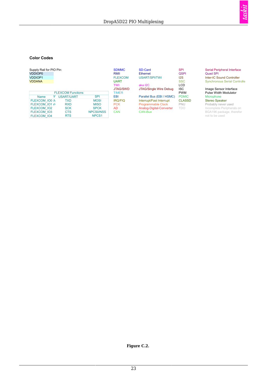

#### <span id="page-28-0"></span>**Color Codes**

| Supply Rail for PIO Pin:<br>VDDIOP0<br><b>VDDIOP1</b><br><b>VDDANA</b>                     |                                                             |                                                                             | <b>SDMMC</b><br>RMII<br><b>FLEXCOM</b><br><b>UART</b><br>TWI | SD-Card<br><b>Ethernet</b><br>USART/SPI/TWI<br>aka I2C                                       | <b>SPI</b><br><b>QSPI</b><br>12S<br><b>SSC</b><br><b>LCD</b> | Serial Peripheral Interface<br><b>Quad SPI</b><br>Inter-IC Sound Controller<br><b>Synchronous Serial Controlle</b>      |
|--------------------------------------------------------------------------------------------|-------------------------------------------------------------|-----------------------------------------------------------------------------|--------------------------------------------------------------|----------------------------------------------------------------------------------------------|--------------------------------------------------------------|-------------------------------------------------------------------------------------------------------------------------|
| Name<br>v.                                                                                 | <b>FLEXCOM Functions</b><br><b>USART/UART</b>               | <b>SPI</b>                                                                  | <b>JTAG/SWD</b><br><b>TIMER</b><br><b>EBI</b>                | JTAG/Single Wire Debug<br>Parallel Bus (EBI / HSMC)                                          | <b>ISC</b><br><b>PWM</b><br><b>PDMIC</b>                     | Image Sensor Interface<br>Pulse Width Modulator<br>Microphone                                                           |
| FLEXCOM IO0 N<br>FLEXCOM IO1 //<br>FLEXCOM IO2<br><b>FLEXCOM IO3</b><br><b>FLEXCOM IO4</b> | TXD<br><b>RXD</b><br><b>SCK</b><br><b>CTS</b><br><b>RTS</b> | <b>MOSI</b><br><b>MISO</b><br><b>SPCK</b><br>NPCS0/NSS<br>NPCS <sub>1</sub> | <b>IRQ/FIQ</b><br><b>PCK</b><br><b>AD</b><br>CAN             | Interrupt/Fast Interrupt<br><b>Programmable Clock</b><br>Analog-Digital-Converter<br>CAN-Bus | <b>CLASSD</b><br>PNU<br><b>TDO</b>                           | <b>Stereo Speaker</b><br>Probably never used<br>Incomplete Peripherals on<br>BGA196 package, therefor<br>not to be used |

#### **Figure C.2.**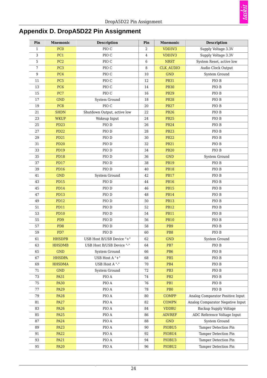

# <span id="page-29-0"></span>**Appendix D. DropA5D22 Pin Assignment**

<span id="page-29-1"></span>

| Pin | <b>Mnemonic</b> | <b>Description</b>          | Pin     | <b>Mnemonic</b>    | <b>Description</b>               |  |
|-----|-----------------|-----------------------------|---------|--------------------|----------------------------------|--|
| 1   | PC <sub>0</sub> | PIO C                       | 2       | VDD3V3             | Supply Voltage 3.3V              |  |
| 3   | PC1             | ${\rm \overline{P}}$ IO C   | $\,4\,$ | VDD3V3             | Supply Voltage 3.3V              |  |
| 5   | PC <sub>2</sub> | PIO C                       | 6       | <b>NRST</b>        | System Reset, active low         |  |
| 7   | PC <sub>3</sub> | PIO C                       | 8       | <b>CLK AUDIO</b>   | Audio Clock Output               |  |
| 9   | PC4             | PIO <sub>C</sub>            | 10      | <b>GND</b>         | System Ground                    |  |
| 11  | PC <sub>5</sub> | PIO C                       | 12      | <b>PB31</b>        | PIO B                            |  |
| 13  | PC <sub>6</sub> | PIO C                       | 14      | <b>PB30</b>        | PIO B                            |  |
| 15  | PC7             | PIO <sub>C</sub>            | 16      | <b>PB29</b>        | PIO B                            |  |
| 17  | <b>GND</b>      | System Ground               | 18      | <b>PB28</b>        | PIO B                            |  |
| 19  | PC8             | PIO C                       | $20\,$  | <b>PB27</b>        | PIO B                            |  |
| 21  | <b>SHDN</b>     | Shutdown Output, active low | 22      | <b>PB26</b>        | PIO B                            |  |
| 23  | <b>WKUP</b>     | Wakeup Input                | 24      | <b>PB25</b>        | PIO B                            |  |
| 25  | <b>PD23</b>     | PIO D                       | 26      | <b>PB24</b>        | PIO B                            |  |
| 27  | <b>PD22</b>     | PIO D                       | 28      | <b>PB23</b>        | PIO B                            |  |
| 29  | <b>PD21</b>     | PIO D                       | 30      | <b>PB22</b>        | PIO B                            |  |
| 31  | <b>PD20</b>     | PIO D                       | 32      | <b>PB21</b>        | PIO B                            |  |
| 33  | <b>PD19</b>     | PIO D                       | 34      | <b>PB20</b>        | PIO B                            |  |
| 35  | <b>PD18</b>     | PIO D                       | 36      | <b>GND</b>         | System Ground                    |  |
| 37  | <b>PD17</b>     | PIO D                       | 38      | <b>PB19</b>        | PIO B                            |  |
| 39  | <b>PD16</b>     | PIO D                       | 40      | <b>PB18</b>        | PIO B                            |  |
| 41  | <b>GND</b>      | System Ground               | 42      | <b>PB17</b>        | PIO B                            |  |
| 43  | <b>PD15</b>     | PIO D                       | 44      | <b>PB16</b>        | PIO B                            |  |
| 45  | <b>PD14</b>     | PIO D                       | 46      | <b>PB15</b>        | PIO B                            |  |
| 47  | <b>PD13</b>     | PIO D                       | 48      | <b>PB14</b>        | PIO B                            |  |
| 49  | <b>PD12</b>     | PIO D                       | 50      | <b>PB13</b>        | PIO B                            |  |
| 51  | <b>PD11</b>     | PIO D                       | 52      | <b>PB12</b>        | PIO B                            |  |
| 53  | <b>PD10</b>     | PIO D                       | 54      | <b>PB11</b>        | PIO B                            |  |
| 55  | PD <sub>9</sub> | PIO D                       | 56      | <b>PB10</b>        | PIO B                            |  |
| 57  | PD <sub>8</sub> | PIO D                       | 58      | PB9                | PIO B                            |  |
| 59  | PD7             | PIO D                       | 60      | PB8                | PIO B                            |  |
| 61  | <b>HHSDPB</b>   | USB Host B/USB Device "+"   | 62      | <b>GND</b>         | System Ground                    |  |
| 63  | <b>HHSDMB</b>   | USB Host B/USB Device "-"   | 64      | PB7                | PIO B                            |  |
| 65  | <b>GND</b>      | System Ground               | 66      | PB <sub>6</sub>    | PIO B                            |  |
| 67  | <b>HHSDPA</b>   | USB Host A "+"              | 68      | PB <sub>5</sub>    | PIO B                            |  |
| 69  | <b>HHSDMA</b>   | USB Host A "-"              | 70      | PB4                | PIO B                            |  |
| 71  | <b>GND</b>      | System Ground               | 72      | PB <sub>3</sub>    | PIO B                            |  |
| 73  | <b>PA31</b>     | PIO A                       | 74      | PB <sub>2</sub>    | PIO B                            |  |
| 75  | <b>PA30</b>     | PIO A                       | 76      | PB1                | PIO B                            |  |
| 77  | <b>PA29</b>     | PIO A                       | 78      | PB <sub>0</sub>    | PIO B                            |  |
| 79  | <b>PA28</b>     | $\rm PIO$ A                 | 80      | <b>COMPP</b>       | Analog Comparator Positive Input |  |
| 81  | <b>PA27</b>     | PIO A                       | 82      | <b>COMPN</b>       | Analog Comparator Negative Input |  |
| 83  | <b>PA26</b>     | PIO A                       | 84      | <b>VDDBU</b>       | <b>Backup Supply Voltage</b>     |  |
| 85  | <b>PA25</b>     | PIO A                       | 86      | <b>ADVREF</b>      | ADC Reference Voltage Input      |  |
| 87  | <b>PA24</b>     | PIO A                       | 88      | <b>GND</b>         | System Ground                    |  |
| 89  | <b>PA23</b>     | PIO A                       | 90      | PIOBU5             | Tamper Detection Pin             |  |
| 91  | <b>PA22</b>     | PIO A                       | 92      | PIOBU4             | Tamper Detection Pin             |  |
| 93  | <b>PA21</b>     | PIO A                       | 94      | PIOBU <sub>3</sub> | Tamper Detection Pin             |  |
| 95  | <b>PA20</b>     | PIO A                       | 96      | PIOBU2             | Tamper Detection Pin             |  |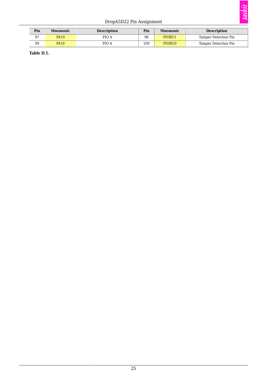#### DropA5D22 Pin Assignment

| Pin | <b>Description</b><br><b>Mnemonic</b> |       | Pin | <b>Mnemonic</b> | <b>Description</b>   |  |  |
|-----|---------------------------------------|-------|-----|-----------------|----------------------|--|--|
| Q7  | <b>PA19</b>                           | PIO A | 98  | PIOBU1          | Tamper Detection Pin |  |  |
| 99  | <b>PA18</b>                           | PIO A | 100 | PIOBU0          | Tamper Detection Pin |  |  |

**Table D.1.**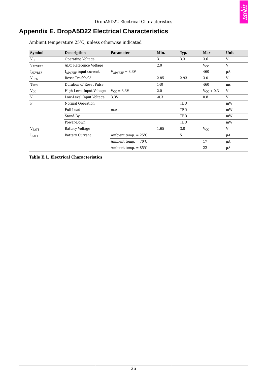# taskit

## <span id="page-31-0"></span>**Appendix E. DropA5D22 Electrical Characteristics**

Ambient temperature 25℃, unless otherwise indicated

<span id="page-31-1"></span>

| <b>Symbol</b>     | <b>Description</b>       | <b>Parameter</b>               | Min.   | Typ. | <b>Max</b>         | Unit |
|-------------------|--------------------------|--------------------------------|--------|------|--------------------|------|
| $V_{CC}$          | Operating Voltage        |                                | 3.1    | 3.3  | 3.6                | V    |
| <b>VADVREF</b>    | ADC Reference Voltage    |                                | 2.0    |      | $V_{CC}$           | V    |
| <b>LADVREF</b>    | IADVREF input current    | $V_{ADVREF} = 3.3V$            |        |      | 460                | μA   |
| V <sub>RES</sub>  | Reset Treshhold          |                                | 2.85   | 2.93 | 3.0                | V    |
| $T_{RES}$         | Duration of Reset Pulse  |                                | 140    |      | 460                | ms   |
| $V_{IH}$          | High-Level Input Voltage | $V_{\rm CC} = 3.3V$            | 2.0    |      | $V_{\rm CC}$ + 0.3 | V    |
| $\rm V_{\rm IL}$  | Low-Level Input Voltage  | 3.3V                           | $-0.3$ |      | 0.8                | V    |
| $\mathbf{P}$      | Normal Operation         |                                |        | TBD  |                    | mW   |
|                   | Full Load                | max.                           |        | TBD  |                    | mW   |
|                   | Stand-By                 |                                |        | TBD  |                    | mW   |
|                   | Power-Down               |                                |        | TBD  |                    | mW   |
| $\rm{V}_{BAT}$    | <b>Battery Voltage</b>   |                                | 1.65   | 3.0  | $V_{CC}$           | V    |
| $I_{\text{BATT}}$ | <b>Battery Current</b>   | Ambient temp. $= 25^{\circ}C$  |        | 5    |                    | μA   |
|                   |                          | Ambient temp. $= 70^{\circ}$ C |        |      | 17                 | μA   |
|                   |                          | Ambient temp. $= 85^{\circ}$ C |        |      | 22                 | μA   |

**Table E.1. Electrical Characteristics**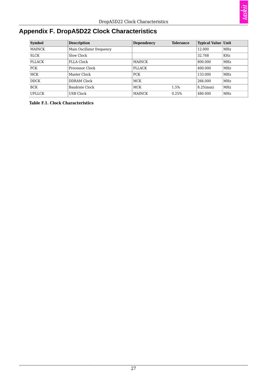

# <span id="page-32-0"></span>**Appendix F. DropA5D22 Clock Characteristics**

<span id="page-32-1"></span>

| <b>Symbol</b> | <b>Description</b>        | <b>Dependency</b> | <b>Tolerance</b> | <b>Typical Value Unit</b> |     |
|---------------|---------------------------|-------------------|------------------|---------------------------|-----|
| <b>MAINCK</b> | Main Oscillator frequency |                   |                  | 12.000                    | MHz |
| <b>SLCK</b>   | Slow Clock                |                   |                  | 32.768                    | KHz |
| <b>PLLACK</b> | PLLA Clock                | <b>MAINCK</b>     |                  | 800.000                   | MHz |
| <b>PCK</b>    | Processor Clock           | <b>PLLACK</b>     |                  | 400.000                   | MHz |
| <b>MCK</b>    | Master Clock              | <b>PCK</b>        |                  | 133.000                   | MHz |
| <b>DDCK</b>   | DDRAM Clock               | <b>MCK</b>        |                  | 266.000                   | MHz |
| <b>BCK</b>    | Baudrate Clock            | <b>MCK</b>        | 1.5%             | $8.25$ (max)              | MHz |
| <b>UPLLCK</b> | <b>USB Clock</b>          | <b>MAINCK</b>     | 0.25%            | 480.000                   | MHz |

**Table F.1. Clock Characteristics**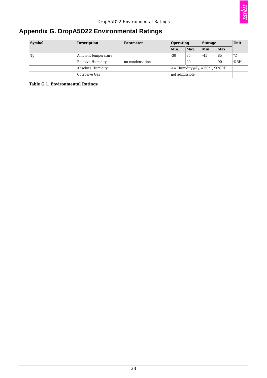

# <span id="page-33-0"></span>**Appendix G. DropA5D22 Environmental Ratings**

<span id="page-33-1"></span>

| <b>Symbol</b>    | <b>Description</b>  | Parameter       | Operating                                          |                  | <b>Storage</b> |      | Unit |
|------------------|---------------------|-----------------|----------------------------------------------------|------------------|----------------|------|------|
|                  |                     |                 | Min.                                               | $\mathbf{Max}$ . | Min.           | Max. |      |
| $\mathrm{T_{A}}$ | Ambient temperature |                 | $-30$                                              | 85               | $-45$          | 85   | °C   |
|                  | Relative Humidity   | no condensation |                                                    | 90               |                | 90   | %RH  |
|                  | Absolute Humidity   |                 | $\epsilon$ = Humidity@T <sub>A</sub> = 60°C, 90%RH |                  |                |      |      |
|                  | Corrosive Gas       |                 | not admissible                                     |                  |                |      |      |

**Table G.1. Environmental Ratings**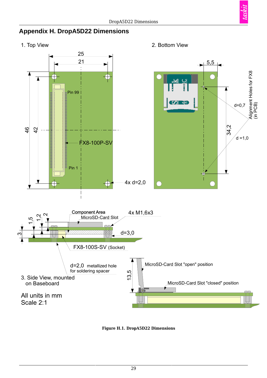<span id="page-34-0"></span>

<span id="page-34-1"></span>1. Top View 2. Bottom View



**Figure H.1. DropA5D22 Dimensions**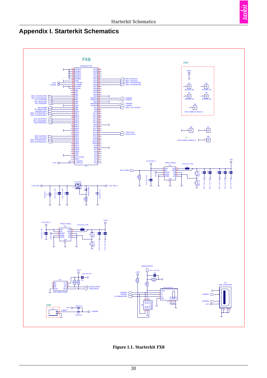# <span id="page-35-1"></span><span id="page-35-0"></span>**Appendix I. Starterkit Schematics**



**Figure I.1. Starterkit FX8**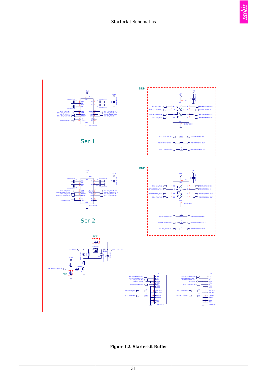<span id="page-36-0"></span>



**Figure I.2. Starterkit Buffer**